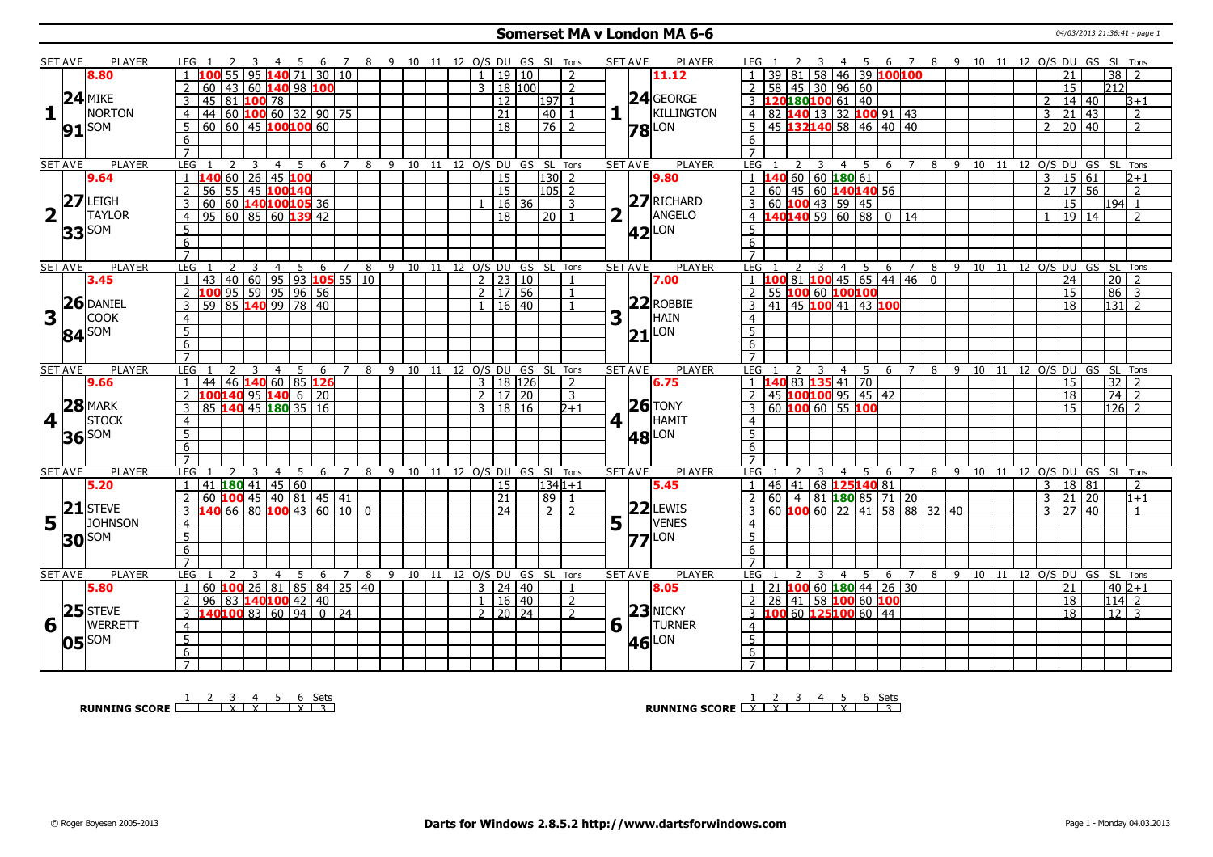#### **Somerset MA v London MA 6-6** 04/03/2013 21:36:41 - page 1

|                         | <b>SET AVE</b> | <b>PLAYER</b>      | LEG 1                                                      | 4 5 6 7 8 9 10 11 12 O/S DU GS SL Tons |                          |                                |                              |                      |                |                |                        | <b>SET AVE</b><br>PLAYER        | LEG 1                                                                        | 3 4 5 6 7 8 9 10 11 12 O/S DU GS SL Tons        |
|-------------------------|----------------|--------------------|------------------------------------------------------------|----------------------------------------|--------------------------|--------------------------------|------------------------------|----------------------|----------------|----------------|------------------------|---------------------------------|------------------------------------------------------------------------------|-------------------------------------------------|
|                         |                | 8.80               | 95                                                         | $140$ 71 30 10                         |                          |                                |                              | 1   19   10          |                | $\mathcal{L}$  |                        | 11.12                           | 39 81 58 46 39 100100<br>$\overline{1}$                                      | $\overline{38}$<br>21                           |
|                         |                |                    | 60 43 60 140 98 100                                        |                                        |                          |                                |                              | $3 \mid 18 \mid 100$ |                | $\overline{2}$ |                        |                                 | 58 45 30 96 60<br><sup>2</sup>                                               | $\overline{15}$<br> 212                         |
|                         |                | $24$ MIKE          | 45 81 100 78                                               |                                        |                          |                                |                              | 12                   | 1971           |                |                        | 24 GEORGE                       | L20180 <mark>100</mark> 61 40                                                | 14 40<br>$\overline{2}$<br>$B+1$                |
| $\mathbf{1}$            |                | NORTON             | 44 60 100 60 32 90 75<br>$\overline{4}$                    |                                        |                          |                                |                              | $\overline{21}$      | 40             |                |                        | KILLINGTON                      | 4 82 140 13 32 100 91 43                                                     | $\overline{2}$<br>$\mathbf{3}$<br>21<br>  43    |
|                         |                |                    | $60$ 60 45 100 100 60<br>5                                 |                                        |                          |                                |                              | $\overline{18}$      |                | $\sqrt{76}$ 2  |                        |                                 | 5 45 132140 58 46 40 40                                                      | 20 40<br>$\overline{2}$<br>$\overline{z}$       |
|                         |                | $91$ SOM           | 6                                                          |                                        |                          |                                |                              |                      |                |                |                        | <b>78</b> LON                   | 6                                                                            |                                                 |
|                         |                |                    | $\overline{7}$                                             |                                        |                          |                                |                              |                      |                |                |                        |                                 | $\overline{7}$                                                               |                                                 |
|                         | <b>SET AVE</b> | <b>PLAYER</b>      | LEG<br>$\mathcal{L}$<br>3                                  | -5<br>$\overline{4}$                   | 6 7                      | 8 9 10 11 12 O/S DU GS SL Tons |                              |                      |                |                |                        | <b>PLAYER</b><br><b>SET AVE</b> | LEG<br>$\overline{2}$<br>4 5<br>-3                                           | 6 7 8 9 10 11 12 0/S DU GS SL Tons              |
|                         |                | 9.64               | $60$ 26 45 100<br>$\mathbf{1}$                             |                                        |                          |                                |                              | $\overline{15}$      |                | $130$ 2        |                        | 9.80                            | $1\overline{140}$ 60 60 180 61                                               | $\overline{3}$<br>15 61<br>$2 + 1$              |
|                         |                |                    | 56 55 45 100 140<br>$\mathcal{P}$                          |                                        |                          |                                |                              | $\overline{15}$      |                | $105$ 2        |                        |                                 | $2   60   45   60$ 140140 56                                                 | $2 \mid 17 \mid 56$<br>$\overline{2}$           |
|                         |                | $27$ LEIGH         | $\overline{3}$<br>60                                       | 60 140100105 36                        |                          |                                |                              | 16 36                |                | 3              |                        | 27 RICHARD                      | 3   60   100   43   59   45                                                  | $\overline{15}$<br>194 1                        |
| $\overline{\mathbf{2}}$ | $\mathbf{I}$   | <b>TAYLOR</b>      | 95   60   85   60   139   42<br>$\overline{4}$             |                                        |                          |                                |                              | $\overline{18}$      | l 20 l         | $\overline{1}$ |                        | ANGELO                          | 4 140140 59 60 88 0 14                                                       | $\overline{2}$<br>$\overline{1}$                |
|                         |                |                    |                                                            |                                        |                          |                                |                              |                      |                |                |                        |                                 |                                                                              | 19 14                                           |
|                         |                | $33$ SOM           | $5\overline{)}$                                            |                                        |                          |                                |                              |                      |                |                |                        | $42$ <sup>LON</sup>             | 5                                                                            |                                                 |
|                         |                |                    | 6                                                          |                                        |                          |                                |                              |                      |                |                |                        |                                 | 6                                                                            |                                                 |
|                         |                |                    | $\overline{7}$                                             |                                        |                          |                                |                              |                      |                |                |                        |                                 |                                                                              |                                                 |
|                         | <b>SET AVE</b> | PLAYER             | LEG<br>2<br>3                                              | $\overline{4}$                         | $5\quad 6\quad 7\quad 8$ |                                | 9 10 11 12 O/S DU GS SL Tons |                      |                |                |                        | <b>SET AVE</b><br>PLAYER        | <b>LEG</b><br>$\overline{3}$<br>4 5 6 7<br>$\overline{2}$                    | 8 9 10 11 12 0/S DU GS SL Tons                  |
|                         |                | 3.45               | 43 40 60 95 93 105 55 10                                   |                                        |                          |                                |                              | $\frac{1}{2}$ 23 10  |                |                |                        | 7.00                            | $1 \vert 100 \vert 81 \vert 100 \vert 45 \vert 65 \vert 44 \vert 46 \vert 0$ | $\overline{20}$   2<br>24                       |
|                         |                | $26$ DANIEL        | 100 95 59 95 96 56<br>59 85 140 99 78 40<br>$\overline{2}$ |                                        |                          |                                |                              | $2 \mid 17 \mid 56$  |                | $\overline{1}$ |                        | $22$ ROBBIE                     | 2 55 100 60 100100                                                           | $86 \overline{\smash{)}3}$<br>15                |
|                         |                |                    | $\overline{3}$                                             |                                        |                          |                                |                              | $1 \mid 16 \mid 40$  |                |                |                        |                                 | 3 41 45 100 41 43 100                                                        | $\overline{18}$<br>131 2                        |
| 3                       |                | <b>COOK</b>        | $\overline{4}$                                             |                                        |                          |                                |                              |                      |                |                | 3                      | HAIN                            | $\overline{4}$                                                               |                                                 |
|                         |                | 84 <sup>SOM</sup>  | $\overline{5}$                                             |                                        |                          |                                |                              |                      |                |                |                        | $21$ <sup>LON</sup>             | $\overline{5}$                                                               |                                                 |
|                         |                |                    | $\overline{6}$                                             |                                        |                          |                                |                              |                      |                |                |                        |                                 | 6                                                                            |                                                 |
|                         |                |                    | $\overline{7}$                                             |                                        |                          |                                |                              |                      |                |                |                        |                                 |                                                                              |                                                 |
| <b>SET AVE</b>          |                |                    |                                                            |                                        | $\overline{7}$           | 8                              | 9 10 11 12 O/S DU GS SL Tons |                      |                |                | <b>SET AVE</b>         | <b>PLAYER</b>                   | <b>LEG</b><br>5<br>$\overline{4}$<br>6 7                                     |                                                 |
|                         |                | <b>PLAYER</b>      | LEG 1<br>3                                                 | $\overline{4}$<br>- 5<br>6             |                          |                                |                              |                      |                |                |                        |                                 |                                                                              | 8 9 10 11 12 0/S DU GS SL Tons                  |
|                         |                | 9.66               | 44 46 140 60 85 126                                        |                                        |                          |                                |                              | 3   18   126         |                | 2              |                        | 6.75                            | 1 140 83 135 41 70                                                           | 15<br>32                                        |
|                         |                |                    | 100140 95 140 6 20                                         |                                        |                          |                                |                              | 2   17   20          |                | 3              |                        |                                 | 45 100100 95 45 42                                                           | $\overline{74}$<br>18<br>$\overline{z}$         |
|                         |                | $28$ MARK          | 85 140 45 180 35 16<br>3                                   |                                        |                          |                                |                              | 3   18   16          |                | $2+1$          |                        | $26$ TONY                       | 3 60 100 60 55 100                                                           | $126$ 2<br>15                                   |
|                         | 4              | STOCK              | $\overline{4}$                                             |                                        |                          |                                |                              |                      |                |                | 4 1                    | HAMIT                           | $\overline{4}$                                                               |                                                 |
|                         |                |                    | $\overline{5}$                                             |                                        |                          |                                |                              |                      |                |                |                        |                                 | $\overline{5}$                                                               |                                                 |
|                         |                | $36$ SOM           | $\overline{6}$                                             |                                        |                          |                                |                              |                      |                |                |                        | <b>48</b> LON                   | $6\overline{6}$                                                              |                                                 |
|                         |                |                    | $\overline{7}$                                             |                                        |                          |                                |                              |                      |                |                |                        |                                 | $\overline{7}$                                                               |                                                 |
|                         | <b>SET AVE</b> | PLAYER             | LEG<br>2<br>3                                              | -5<br>4<br>6                           | $\overline{7}$           | 8 9 10 11 12 O/S DU GS SL Tons |                              |                      |                |                |                        | PLAYER<br><b>SET AVE</b>        | <b>LEG</b><br>$\overline{4}$<br>- 5<br>- 6                                   | 7 8 9 10 11 12 O/S DU GS SL Tons                |
|                         |                | 5.20               | $41$ <b>180</b> 41 45 60<br>$\overline{1}$                 |                                        |                          |                                |                              | 15                   |                | $ 134 1+1$     |                        | 5.45                            | 46 41 68 125 140 81<br>$\overline{1}$                                        | 18 81<br>3<br>$\overline{2}$                    |
|                         |                |                    | $60$ 100 45 40 81 45 41<br>$\overline{2}$                  |                                        |                          |                                |                              | $\overline{21}$      |                | 89 1           |                        |                                 | 60 4 81 180 85 71 20<br>$\overline{2}$                                       | $\overline{3}$<br>$ 21\rangle$<br>20<br>$1 + 1$ |
|                         |                | $21$ STEVE         | L40 66 80 100 43 60 10 0<br>3                              |                                        |                          |                                |                              | $\overline{24}$      | $\overline{2}$ | $\overline{2}$ |                        | $22$ LEWIS                      | 60   100   60   22   41   58   88   32   40                                  | $3 \mid 27 \mid 40$<br>$\mathbf{1}$             |
|                         | l L            | <b>JOHNSON</b>     |                                                            |                                        |                          |                                |                              |                      |                |                |                        | <b>VENES</b>                    | $\overline{4}$                                                               |                                                 |
| 5 <sup>1</sup>          |                |                    | 4                                                          |                                        |                          |                                |                              |                      |                |                | $5\vert \bar{1} \vert$ |                                 |                                                                              |                                                 |
|                         |                | <b>30</b> SOM      | $\overline{5}$                                             |                                        |                          |                                |                              |                      |                |                |                        | $77$ <sup>LON</sup>             | $\overline{5}$                                                               |                                                 |
|                         |                |                    | 6<br>$\overline{7}$                                        |                                        |                          |                                |                              |                      |                |                |                        |                                 | 6<br>$\overline{7}$                                                          |                                                 |
|                         | <b>SET AVE</b> | PLAYER             | <b>LEG</b>                                                 | $\overline{4}$<br>5<br>6               | $\overline{7}$           | 8                              |                              |                      |                |                |                        | <b>SET AVE</b><br><b>PLAYER</b> | LEG<br>3<br>$\overline{4}$<br>-5<br>-6<br>$\overline{7}$                     | 8 9 10                                          |
|                         |                | 5.80               | $\mathbf{1}$                                               |                                        |                          |                                | 9 10 11 12 0/S DU GS SL Tons | 3 24 40              |                | $\overline{1}$ |                        | 8.05                            |                                                                              | 11 12 0/S DU GS SL Tons<br>40 2+1<br>21         |
|                         |                |                    | 60 <b>100</b> 26 81 85 84 25 40<br>$\overline{2}$          |                                        |                          |                                |                              | 1 16 140             |                | 2              |                        |                                 | $1 \mid 21 \mid 100 \mid 60 \mid 180 \mid 44 \mid 26 \mid 30$                | 18<br>l114l 2                                   |
|                         |                |                    | $96 83 $ 140100 42 40                                      |                                        |                          |                                |                              |                      |                | $\overline{2}$ |                        |                                 | 2 28 41 58 100 60 100                                                        | $12 \mid 3$<br>18                               |
|                         | $\mathbf{I}$   | $25$ STEVE         | $3 \t140100836094024$                                      |                                        |                          |                                |                              | $2$   20   24        |                |                |                        | $23$ NICKY                      | 3 100 60 125100 60 44                                                        |                                                 |
| 6                       |                | <b>WERRETT</b>     | $\overline{4}$                                             |                                        |                          |                                |                              |                      |                |                | $6\sqrt{1}$            | <b>TURNER</b>                   | $\overline{4}$                                                               |                                                 |
|                         |                | $05^{\text{ISOM}}$ | $\overline{5}$                                             |                                        |                          |                                |                              |                      |                |                |                        | LON<br><b>46</b>                | $\overline{5}$                                                               |                                                 |
|                         |                |                    | $6\overline{6}$<br>$7^{\circ}$                             |                                        |                          |                                |                              |                      |                |                |                        |                                 | $6\overline{6}$<br>$7^{\circ}$                                               |                                                 |

**RUNNING SCORE**  $\begin{array}{|c|c|c|c|c|}\n\hline\n & 2 & 3 & 4 & 5 & 6 & \text{Sets} \\
\hline\n\end{array}$ 

**RUNNING SCORE**  $\begin{array}{|c|c|c|c|c|}\n\hline\n & 2 & 3 & 4 & 5 & 6 & \text{Sets} \\
\hline\n\textbf{R} & \textbf{NN} & \textbf{NN} & \textbf{NN} & \textbf{NN} & \textbf{NN} \\
\hline\n\end{array}$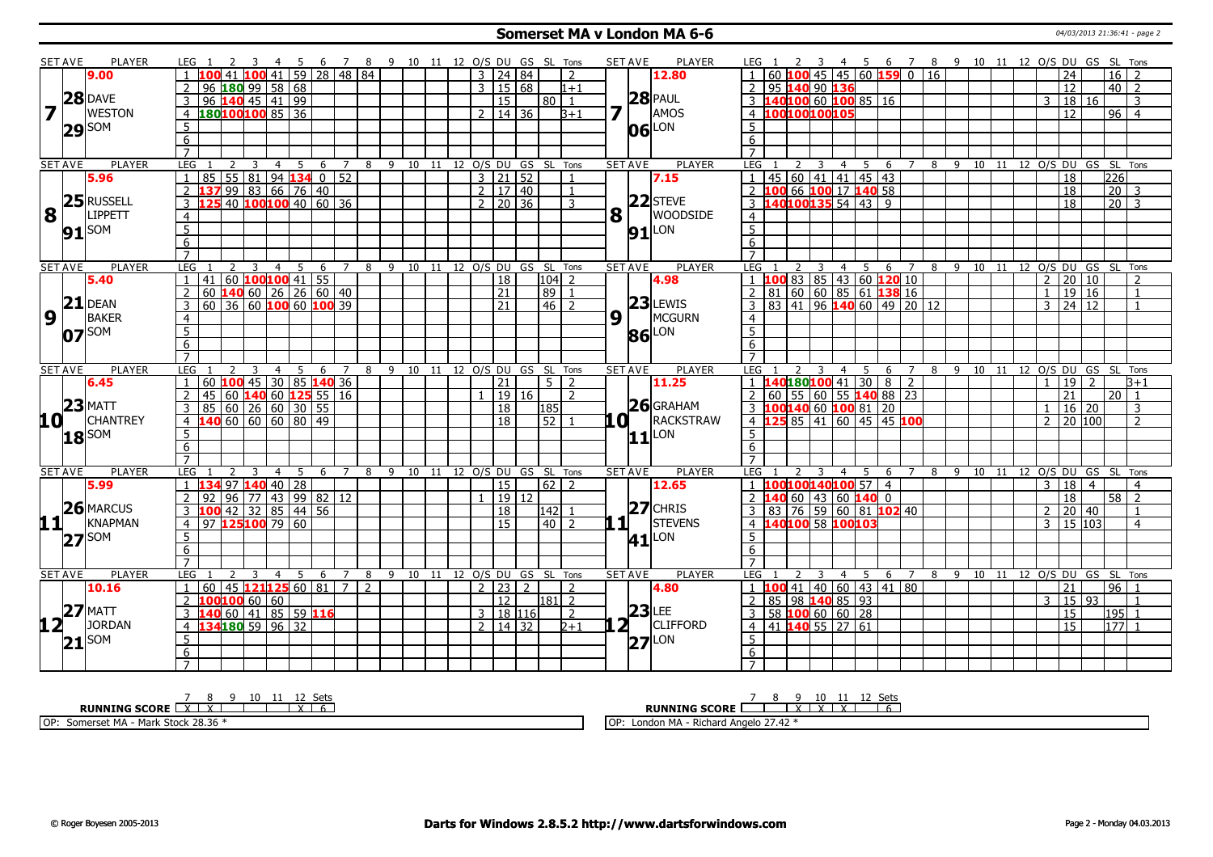### **Somerset MA v London MA 6-6** 04/03/2013 21:36:41 - page 2

|                         | <b>SET AVE</b> | PLAYER          | LEG 1                             |                                      |                                           | - 45           |                               |                | 6 7 8 9 10 11 12 O/S DU GS SL Tons |                                |                              |                     |                 |                     |                |                             | <b>SET AVE</b> | <b>PLAYER</b>       | LEG 1                                                                  | - 3                                                  |     |                         |                |         |  |                |                 |    | 4 5 6 7 8 9 10 11 12 O/S DU GS SL Tons |  |
|-------------------------|----------------|-----------------|-----------------------------------|--------------------------------------|-------------------------------------------|----------------|-------------------------------|----------------|------------------------------------|--------------------------------|------------------------------|---------------------|-----------------|---------------------|----------------|-----------------------------|----------------|---------------------|------------------------------------------------------------------------|------------------------------------------------------|-----|-------------------------|----------------|---------|--|----------------|-----------------|----|----------------------------------------|--|
|                         |                | 9.00            |                                   |                                      |                                           |                | 41 100 41 59 28 48 84         |                |                                    |                                |                              | $3 \mid 24 \mid 84$ |                 |                     | $\overline{2}$ |                             |                | 12.80               | $\vert$ 1                                                              | 45                                                   |     | $\sqrt{45}$ 60 159 0 16 |                |         |  |                | 24              |    | 16<br>$\overline{2}$                   |  |
|                         |                |                 |                                   | $96$ <b>180</b> 99 58 68             |                                           |                |                               |                |                                    |                                |                              | $\overline{3}$      | 15 68           |                     | $1 + 1$        |                             |                |                     | 95 140 90 136                                                          |                                                      |     |                         |                |         |  |                | 12              |    | $40$   2                               |  |
|                         |                | $28$ DAVE       |                                   | 96 140 45 41 99                      |                                           |                |                               |                |                                    |                                |                              |                     | $\overline{15}$ | $80$   1            |                |                             |                | $28$ PAUL           | 40100 60 100 85 16                                                     |                                                      |     |                         |                |         |  | 3              | 18 16           |    | 3                                      |  |
| $\overline{\mathbf{z}}$ |                | <b>WESTON</b>   | $\overline{4}$                    | 180100100 85 36                      |                                           |                |                               |                |                                    |                                |                              | 2                   | 14   36         |                     | $3 + 1$        |                             |                | AMOS                | 100100100105<br>4                                                      |                                                      |     |                         |                |         |  |                | 12              |    | $96$   4                               |  |
|                         |                |                 | 5                                 |                                      |                                           |                |                               |                |                                    |                                |                              |                     |                 |                     |                |                             |                | LON                 | 5                                                                      |                                                      |     |                         |                |         |  |                |                 |    |                                        |  |
|                         | $29$ SOM       |                 | 6                                 |                                      |                                           |                |                               |                |                                    |                                |                              |                     |                 |                     |                |                             | 06             |                     | 6                                                                      |                                                      |     |                         |                |         |  |                |                 |    |                                        |  |
|                         |                |                 | $\overline{7}$                    |                                      |                                           |                |                               |                |                                    |                                |                              |                     |                 |                     |                |                             |                |                     | $\overline{7}$                                                         |                                                      |     |                         |                |         |  |                |                 |    |                                        |  |
|                         | <b>SET AVE</b> | <b>PLAYER</b>   | LEG                               |                                      | 3                                         | 4              | -5<br>6                       | 7              | 8                                  | 9 10 11 12 O/S DU GS SL Tons   |                              |                     |                 |                     |                |                             | <b>SET AVE</b> | <b>PLAYER</b>       | LEG                                                                    | 3<br>4                                               | -5  | 6                       | 7              |         |  |                |                 |    | 8 9 10 11 12 0/S DU GS SL Tons         |  |
|                         |                | 5.96            | $\overline{1}$                    | 85                                   |                                           |                | $55 81 94$ 134 0 52           |                |                                    |                                |                              | $3 \mid 21 \mid 52$ |                 |                     | $\overline{1}$ |                             |                | 7.15                | 45 60 41 41 45 43<br>$\overline{1}$                                    |                                                      |     |                         |                |         |  |                | 18              |    | 226                                    |  |
|                         |                |                 |                                   | 2 137 99 83 66 76 40                 |                                           |                |                               |                |                                    |                                |                              | 2   17   40         |                 |                     | $\overline{1}$ |                             |                |                     | 2 100 66 100 17 140 58                                                 |                                                      |     |                         |                |         |  |                | 18              |    | 20<br>$\overline{\mathbf{3}}$          |  |
|                         |                | 25 RUSSELL      | 3                                 |                                      |                                           |                | 40   100   100   40   60   36 |                |                                    |                                |                              | $2 \mid 20 \mid 36$ |                 |                     | 3              |                             |                | $22$ STEVE          | 3 140100135 54 43 9                                                    |                                                      |     |                         |                |         |  |                | 18              |    | $\boxed{20}$ $\boxed{3}$               |  |
| 8                       |                | <b>LIPPETT</b>  | $\overline{4}$                    |                                      |                                           |                |                               |                |                                    |                                |                              |                     |                 |                     |                | $\mathbf{8}$ $\overline{1}$ |                | <b>WOODSIDE</b>     | $\overline{4}$                                                         |                                                      |     |                         |                |         |  |                |                 |    |                                        |  |
|                         |                | SOM             |                                   |                                      |                                           |                |                               |                |                                    |                                |                              |                     |                 |                     |                |                             |                |                     | $\overline{5}$                                                         |                                                      |     |                         |                |         |  |                |                 |    |                                        |  |
|                         | 91             |                 | $\frac{5}{6}$                     |                                      |                                           |                |                               |                |                                    |                                |                              |                     |                 |                     |                |                             |                | $91$ $^{LON}$       | $\overline{6}$                                                         |                                                      |     |                         |                |         |  |                |                 |    |                                        |  |
|                         |                |                 | $\overline{7}$                    |                                      |                                           |                |                               |                |                                    |                                |                              |                     |                 |                     |                |                             |                |                     | $\overline{7}$                                                         |                                                      |     |                         |                |         |  |                |                 |    |                                        |  |
|                         | <b>SET AVE</b> | <b>PLAYER</b>   | LEG                               | 2                                    | $\overline{\mathbf{3}}$<br>$\overline{4}$ |                | 5                             |                | 6 7 8 9 10 11 12 0/S DU GS SL Tons |                                |                              |                     |                 |                     |                |                             | <b>SET AVE</b> | <b>PLAYER</b>       | LEG                                                                    | 3 4 5 6 7 8 9 10 11 12 O/S DU GS SL Tons             |     |                         |                |         |  |                |                 |    |                                        |  |
|                         |                | 5.40            |                                   | 41                                   |                                           |                | 60 $100100$ 41 55             |                |                                    |                                |                              |                     | $\overline{18}$ | $104$ 2             |                |                             |                | 4.98                | 00 83 85 43 60 120 10                                                  |                                                      |     |                         |                |         |  | $\overline{2}$ | 20 10           |    |                                        |  |
|                         |                |                 | $\overline{2}$                    | 60 <b>140</b> 60   26   26   60   40 |                                           |                |                               |                |                                    |                                |                              |                     | 21              | 89                  | $\overline{1}$ |                             |                |                     | 81   60   60   85   61   138   16<br>$\overline{2}$                    |                                                      |     |                         |                |         |  | $\mathbf{1}$   | 19 16           |    | 1                                      |  |
|                         | 21             | <b>DEAN</b>     | $\overline{3}$                    | $60$ 36 60 100 60 100 39             |                                           |                |                               |                |                                    |                                |                              |                     | $\overline{21}$ | $146$   2           |                |                             |                | $23$ LEWIS          | 83 41 96 <b>140</b> 60 49 20 12<br>$\overline{3}$                      |                                                      |     |                         |                |         |  | $\overline{3}$ | 24 12           |    | $\mathbf{1}$                           |  |
| 9                       |                | <b>BAKER</b>    | $\overline{4}$                    |                                      |                                           |                |                               |                |                                    |                                |                              |                     |                 |                     |                | 9 <sub>1</sub>              |                | MCGURN              | $\overline{4}$                                                         |                                                      |     |                         |                |         |  |                |                 |    |                                        |  |
|                         |                |                 | $\overline{5}$                    |                                      |                                           |                |                               |                |                                    |                                |                              |                     |                 |                     |                |                             |                |                     | $\overline{5}$                                                         |                                                      |     |                         |                |         |  |                |                 |    |                                        |  |
|                         | $07$ SOM       |                 |                                   |                                      |                                           |                |                               |                |                                    |                                |                              |                     |                 |                     |                |                             | 86             | LON                 | 6                                                                      |                                                      |     |                         |                |         |  |                |                 |    |                                        |  |
|                         |                |                 | 6<br>$\overline{7}$               |                                      |                                           |                |                               |                |                                    |                                |                              |                     |                 |                     |                |                             |                |                     | $\overline{7}$                                                         |                                                      |     |                         |                |         |  |                |                 |    |                                        |  |
|                         | <b>SET AVE</b> | <b>PLAYER</b>   | LEG                               |                                      | 3                                         | $\overline{4}$ | 5<br>6                        | $7^{\circ}$    |                                    | 8 9 10 11 12 0/S DU GS SL Tons |                              |                     |                 |                     |                |                             | <b>SET AVE</b> | <b>PLAYER</b>       | <b>LEG</b>                                                             | $\overline{4}$<br>3                                  | 5   | 6                       | $\overline{7}$ |         |  |                |                 |    | 8 9 10 11 12 0/S DU GS SL Tons         |  |
|                         |                | 6.45            | $\overline{1}$                    | 60 100 45 30 85 140 36               |                                           |                |                               |                |                                    |                                |                              |                     | 21              | 512                 |                |                             |                | 11.25               | 1   140 <sup> </sup> 180 <sup> </sup> 100 <sup> </sup> 41   30   8   2 |                                                      |     |                         |                |         |  | $\overline{1}$ | $19$   2        |    | B+1                                    |  |
|                         |                |                 | <sup>2</sup>                      | 45                                   |                                           |                | 60 140 60 125 55 16           |                |                                    |                                |                              |                     | 19 16           |                     | $\overline{2}$ |                             |                |                     | 60   55   60   55 <b>140</b> 88   23<br>2                              |                                                      |     |                         |                |         |  |                | 21              | 20 | $\overline{1}$                         |  |
|                         |                | $23$ MATT       | 3                                 | 85   60   26   60   30   55          |                                           |                |                               |                |                                    |                                |                              |                     | 18              | 185                 |                |                             |                | $26$ GRAHAM         | 3 100140 60 100 81 20                                                  |                                                      |     |                         |                |         |  | $\mathbf{1}$   | $16 \mid 20$    |    | 3                                      |  |
| 10 <sup>T</sup>         |                | <b>CHANTREY</b> | $\overline{4}$                    | L40 60 60 60 80 49                   |                                           |                |                               |                |                                    |                                |                              |                     | 18              | 52                  |                | LO I                        |                | <b>RACKSTRAW</b>    | $4 \; 1$<br>つち                                                         | 85 41 60 45 45 100                                   |     |                         |                |         |  | $\overline{2}$ | 20   100        |    | $\overline{2}$                         |  |
|                         |                |                 | 5                                 |                                      |                                           |                |                               |                |                                    |                                |                              |                     |                 |                     |                |                             |                |                     | 5                                                                      |                                                      |     |                         |                |         |  |                |                 |    |                                        |  |
|                         | $18$ SOM       |                 |                                   |                                      |                                           |                |                               |                |                                    |                                |                              |                     |                 |                     |                |                             | 11             | LON                 | 6                                                                      |                                                      |     |                         |                |         |  |                |                 |    |                                        |  |
|                         |                |                 | 6<br>$\overline{7}$               |                                      |                                           |                |                               |                |                                    |                                |                              |                     |                 |                     |                |                             |                |                     | $\overline{7}$                                                         |                                                      |     |                         |                |         |  |                |                 |    |                                        |  |
|                         | <b>SET AVE</b> | <b>PLAYER</b>   | LEG                               |                                      |                                           |                |                               |                |                                    | 9                              |                              |                     |                 |                     |                |                             | <b>SET AVE</b> | <b>PLAYER</b>       | <b>LEG</b>                                                             |                                                      |     |                         |                |         |  |                |                 |    | 10 11 12 O/S DU GS SL Tons             |  |
|                         |                | 5.99            |                                   |                                      |                                           | 4              | 6                             |                | 8                                  |                                | 10 11 12 O/S DU GS SL Tons   |                     | 15              | 62   2              |                |                             |                |                     | 100100140100 57 4                                                      | $\overline{4}$                                       | 5   | 6                       |                | 8<br>-9 |  |                |                 |    |                                        |  |
|                         |                |                 |                                   | L34 97 140 40 28<br>92               |                                           |                | $96$   77   43   99   82   12 |                |                                    |                                |                              |                     | 19 12           |                     |                |                             |                | 12.65               |                                                                        | $60 \overline{)43} \overline{)60} \overline{)140}$ 0 |     |                         |                |         |  | 3              | 18 4<br>18      |    | $\overline{4}$<br>58<br>$\overline{z}$ |  |
|                         |                | 26 MARCUS       |                                   | $3\,100$                             |                                           |                | 42 32 85 44 56                |                |                                    |                                |                              |                     |                 |                     |                |                             |                | $ 27 $ CHRIS        | 3   83   76   59   60   81   102   40                                  |                                                      |     |                         |                |         |  |                |                 |    |                                        |  |
| 11                      |                |                 | $\overline{4}$                    | 97 125 100 79 60                     |                                           |                |                               |                |                                    |                                |                              |                     | 18<br>15        | 142 1               |                | $1\sqrt{1}$                 |                | <b>STEVENS</b>      |                                                                        |                                                      |     |                         |                |         |  | 2              | 20 40           |    | $\mathbf{1}$                           |  |
|                         |                |                 |                                   |                                      |                                           |                |                               |                |                                    |                                |                              |                     |                 | $\overline{40}$   2 |                |                             |                |                     | 4 140100 58 100103                                                     |                                                      |     |                         |                |         |  | $\overline{3}$ | 15 103          |    | $\overline{4}$                         |  |
|                         |                | <b>KNAPMAN</b>  |                                   |                                      |                                           |                |                               |                |                                    |                                |                              |                     |                 |                     |                |                             |                | $41$ <sup>LON</sup> |                                                                        |                                                      |     |                         |                |         |  |                |                 |    |                                        |  |
|                         |                |                 | 5                                 |                                      |                                           |                |                               |                |                                    |                                |                              |                     |                 |                     |                |                             |                |                     | 5                                                                      |                                                      |     |                         |                |         |  |                |                 |    |                                        |  |
|                         | $27$ SOM       |                 | 6                                 |                                      |                                           |                |                               |                |                                    |                                |                              |                     |                 |                     |                |                             |                |                     | 6                                                                      |                                                      |     |                         |                |         |  |                |                 |    |                                        |  |
|                         |                |                 | $\overline{7}$                    |                                      |                                           |                |                               |                |                                    |                                |                              |                     |                 |                     |                |                             |                |                     | $\overline{7}$                                                         |                                                      |     |                         |                |         |  |                |                 |    |                                        |  |
|                         | <b>SET AVE</b> | PLAYER          | LEG                               |                                      | 3                                         | $\overline{4}$ | -5<br>6                       | $\overline{7}$ | 8                                  |                                | 9 10 11 12 O/S DU GS SL Tons |                     |                 |                     |                |                             | <b>SET AVE</b> | <b>PLAYER</b>       | LEG                                                                    | $\overline{4}$                                       | - 5 | - 6                     | $\overline{7}$ |         |  |                |                 |    | 8 9 10 11 12 O/S DU GS SL Tons         |  |
|                         |                | 10.16           | $\overline{1}$                    | 60                                   |                                           |                | 45 121125 60 81 7             |                | $\overline{2}$                     |                                |                              | $2 \mid 23 \mid 2$  |                 |                     | $\mathcal{L}$  |                             |                | 4.80                | $1$ 1 <b>100</b> 41 40 60 43 41 80                                     |                                                      |     |                         |                |         |  |                | $\overline{21}$ |    | 96 1                                   |  |
|                         |                |                 | $\mathcal{L}$                     | LOO100 60 60                         |                                           |                |                               |                |                                    |                                |                              |                     | 12              | l181  2             |                |                             |                |                     | 85 98 140 85 93<br>$\sqrt{2}$                                          |                                                      |     |                         |                |         |  | 3              | 15 93           |    |                                        |  |
|                         |                | $27$ MATT       | 3                                 | L40 60 41 85 59 116                  |                                           |                |                               |                |                                    |                                |                              | 3   18   116        |                 |                     | $\overline{2}$ |                             |                | $23$ LEE            | 58 $100$ 60 60 28<br>3                                                 |                                                      |     |                         |                |         |  |                | $\overline{15}$ |    | 195 1                                  |  |
| $12^{\text{-}}$         |                | <b>JORDAN</b>   | 4                                 | 34180 59 96 32                       |                                           |                |                               |                |                                    |                                |                              | $\overline{2}$      | 14 32           |                     | $2 + 1$        |                             | ⊺2             | CLIFFORD            | 41 140 55 27 61<br>$\overline{4}$                                      |                                                      |     |                         |                |         |  |                | 15              |    | 177                                    |  |
|                         |                |                 | $\overline{5}$                    |                                      |                                           |                |                               |                |                                    |                                |                              |                     |                 |                     |                |                             |                |                     | $5\overline{)}$                                                        |                                                      |     |                         |                |         |  |                |                 |    |                                        |  |
|                         | $21^{ SOM }$   |                 | $6\overline{6}$<br>$\overline{7}$ |                                      |                                           |                |                               |                |                                    |                                |                              |                     |                 |                     |                |                             |                | $27$ <sup>LON</sup> | $6\overline{6}$<br>$\overline{7}$                                      |                                                      |     |                         |                |         |  |                |                 |    |                                        |  |

| <b>Sets</b><br><b>RUNNING SCORE</b><br>$\sqrt{ }$ | ⊂ot<br>$\kappa$ UNNING SCCTT<br>RU<br>$\ddot{\phantom{1}}$<br>$\ddot{\phantom{1}}$<br>$\ddot{\phantom{1}}$ |
|---------------------------------------------------|------------------------------------------------------------------------------------------------------------|
| <b>Stock 28.36</b><br>OP:<br>Mark<br>Somerset MA  | $\sim$<br>, , ,<br>Londo<br>` Angelo 27.4∠<br>тын<br>◡                                                     |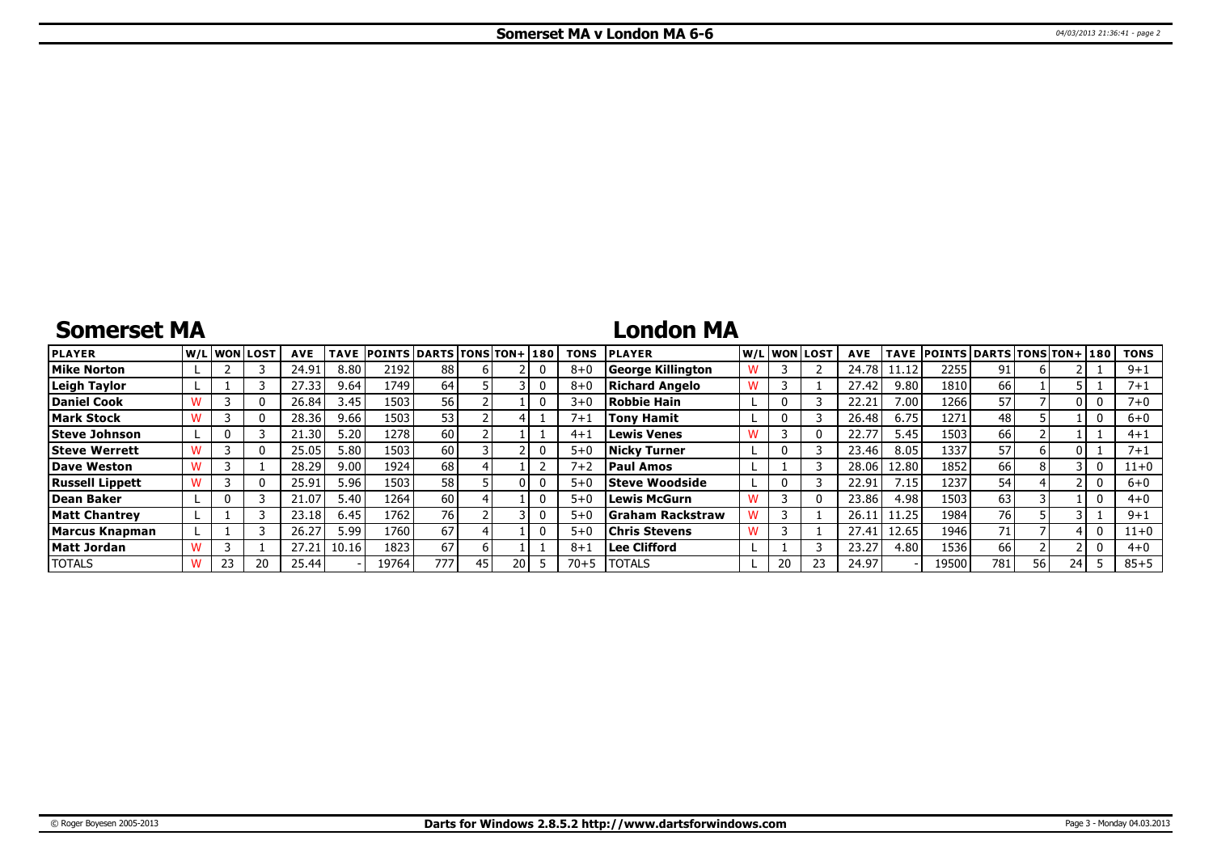# **Somerset MA**

# **London MA**

| <b>PLAYER</b>          |    | W/Liwonilost | <b>AVE</b> | <b>TAVE</b> | <b>POINTS DARTS TONS TON+180</b> |     |    |    | <b>TONS</b> | <b>PLAYER</b>            |              | W/L WON LOST | <b>AVE</b> | TAVE  | <b>POINTS DARTS TONS TON+ 180</b> |           |      |    | <b>TONS</b> |
|------------------------|----|--------------|------------|-------------|----------------------------------|-----|----|----|-------------|--------------------------|--------------|--------------|------------|-------|-----------------------------------|-----------|------|----|-------------|
| <b>Mike Norton</b>     |    |              | 24.91      | 8.80        | 2192                             | 88  |    |    | $8 + 0$     | <b>George Killington</b> |              |              | 24.78      |       | 2255                              | 91        |      |    | $9 + 1$     |
| Leigh Taylor           |    |              | 27.33      | 9.64        | 1749 !                           | 64  |    |    | $8 + 0$     | Richard Angelo           |              |              | 27.42      | 9.80  | 1810                              | 66        |      |    | $7 + 1$     |
| Daniel Cook            |    |              | 26.84      | 3.45        | 1503                             | 56  |    |    | $3 + 0$     | Robbie Hain              | 0            |              | 22.21      | 7.00  | 1266                              | 57        |      |    | 7+0         |
| Mark Stock             |    |              | 28.36      | 9.66        | 1503                             | 53  |    |    | $7 + 1$     | Tony Hamit               | 0            |              | 26.48      | 6.75  | 1271                              | 48        |      |    | $6+0$       |
| Steve Johnson          |    |              | 21.30      | 5.20        | 1278                             | 60  |    |    | $4+1$       | <b>Lewis Venes</b>       |              |              | 22.7       | 5.45  | 1503                              | 66        |      |    | $4 + 1$     |
| Steve Werrett          |    |              | 25.05      | 5.80        | 1503                             | 60  |    |    | $5+0$       | <b>Nicky Turner</b>      | 0            |              | 23.46      | 8.05  | 1337                              | 57        |      |    | 7+1         |
| Dave Weston            |    |              | 28.29      | 9.00        | 1924                             | 68  |    |    | $7 + 2$     | <b>Paul Amos</b>         |              |              | 28.06      | 12.80 | 1852                              | 66        |      |    | $11+0$      |
| <b>Russell Lippett</b> |    |              | 25.91      | 5.96        | 1503                             | 58  |    |    | $5+0$       | <b>Steve Woodside</b>    | $\mathbf{0}$ |              | 22.91      | 7.15  | 1237                              | 54        |      |    | $6+0$       |
| Dean Baker             |    |              | 21.07      | 5.40        | 1264                             | 60  |    |    | $5+0$       | Lewis McGurn             |              |              | 23.86      | 4.98  | 1503                              | 63        |      |    | $4 + 0$     |
| Matt Chantrev          |    |              | 23.18      | 6.45        | 1762                             | 76  |    |    | $5+0$       | Graham Rackstraw         |              |              | 26.1       | 11.25 | 1984                              | <b>76</b> |      |    | $9 + 1$     |
| Marcus Knapman         |    |              | 26.27      | 5.99        | 1760                             | 67  |    |    | $5+0$       | <b>Chris Stevens</b>     |              |              | 27.41      | 12.65 | 1946                              | 71        |      |    | $11 + 0$    |
| Matt Jordan            |    |              | 27.21      | 10.16       | 1823                             | 67  |    |    | $8 + 1$     | Lee Clifford             |              |              | 23.27      | 4.80  | 1536                              | 66        |      |    | $4 + 0$     |
| <b>TOTALS</b>          | 23 | 20           | 25.44      |             | 19764                            | 777 | 45 | 20 | 70+5        | <b>TOTALS</b>            | 20           |              | 24.97      |       | 19500                             | 781       | 56 l | 24 | $85 + 5$    |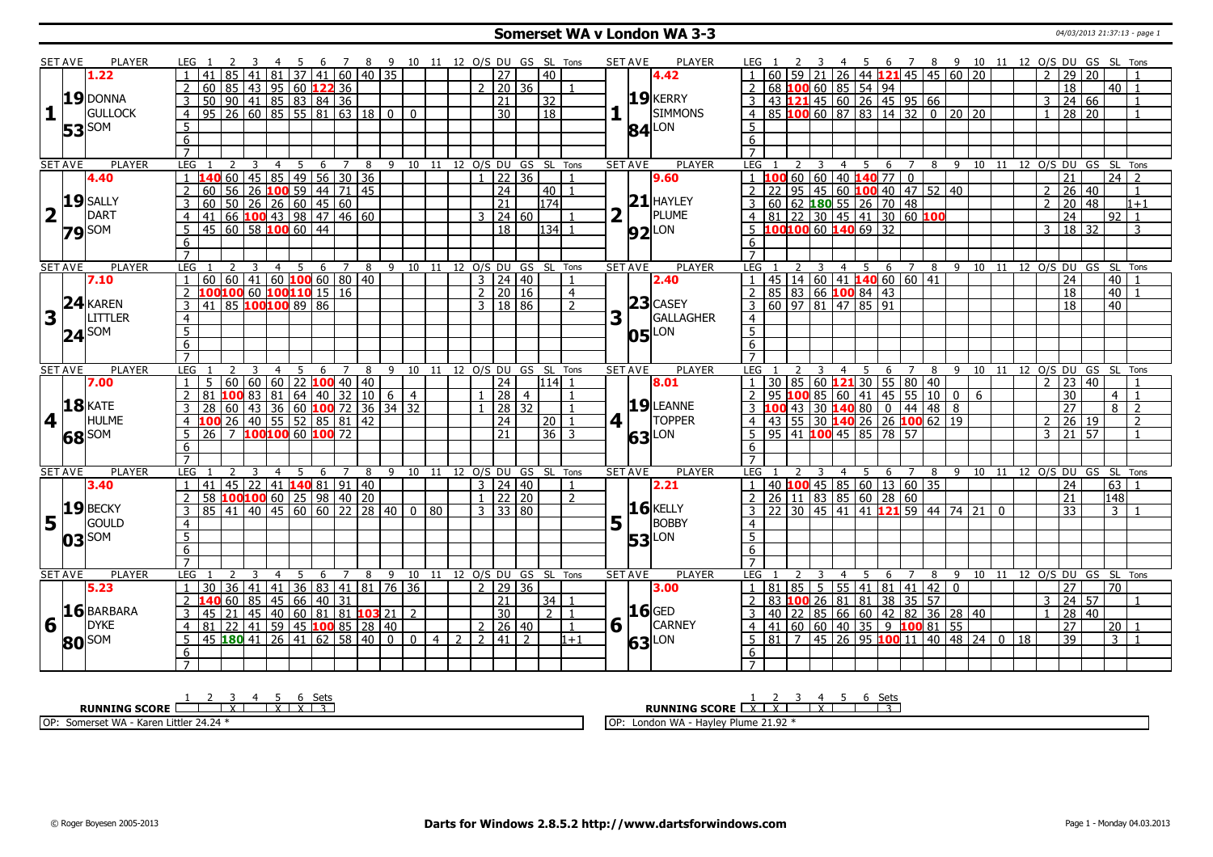### **Somerset WA v London WA 3-3 CONSERVER 2013 21:37:13** - page 1

|    | SET AVE        | PLAYER                                                                                                                                                          | LEG 1                            |    | -3                  | -4                                                   | 5  | 6 <sup>6</sup> | $\overline{7}$ |                |         |              |    |                     |                                   | 8 9 10 11 12 O/S DU GS SL Tons |                                  |   | <b>SET AVE</b>       | PLAYER              |                                  |         |                         |                |                                 |                                         |                                                                                                                                                         |   |     |                                                |              |                |                     |                                        | 4 5 6 7 8 9 10 11 12 O/S DU GS SL Tons |                |
|----|----------------|-----------------------------------------------------------------------------------------------------------------------------------------------------------------|----------------------------------|----|---------------------|------------------------------------------------------|----|----------------|----------------|----------------|---------|--------------|----|---------------------|-----------------------------------|--------------------------------|----------------------------------|---|----------------------|---------------------|----------------------------------|---------|-------------------------|----------------|---------------------------------|-----------------------------------------|---------------------------------------------------------------------------------------------------------------------------------------------------------|---|-----|------------------------------------------------|--------------|----------------|---------------------|----------------------------------------|----------------------------------------|----------------|
|    |                | 1.22                                                                                                                                                            |                                  |    |                     | 85 41 81 37 41 60 40 35                              |    |                |                |                |         |              |    | $\overline{27}$     |                                   | 40                             |                                  |   |                      | 4.42                |                                  |         |                         |                |                                 |                                         | 0 60 59 21 26 44 121 45 45 60 20<br>68 100 60 85 54 94                                                                                                  |   |     |                                                |              |                | 29                  | $\overline{20}$                        |                                        |                |
|    |                |                                                                                                                                                                 | $\overline{2}$                   |    |                     |                                                      |    |                |                |                |         |              |    | $2 \mid 20 \mid 36$ |                                   |                                |                                  |   |                      |                     | $\overline{z}$                   |         |                         |                |                                 |                                         |                                                                                                                                                         |   |     |                                                |              |                | $\overline{18}$     |                                        | 40 <sup>1</sup><br>$\overline{1}$      |                |
|    |                | 19 DONNA                                                                                                                                                        | 3                                |    |                     |                                                      |    |                |                |                |         |              |    | $\overline{21}$     |                                   | 32                             |                                  |   |                      | $19$ <b>KERRY</b>   | $\overline{3}$                   |         |                         |                |                                 |                                         |                                                                                                                                                         |   |     |                                                |              | $\mathbf{3}$   | 24 66               |                                        |                                        | $\overline{1}$ |
| 11 |                | <b>GULLOCK</b>                                                                                                                                                  | $\overline{4}$                   |    |                     |                                                      |    |                |                |                |         | $\mathbf{0}$ |    | 30                  |                                   | $\overline{18}$                |                                  |   |                      | <b>SIMMONS</b>      | $\overline{4}$                   |         |                         |                |                                 |                                         | 43 121 45 60 26 45 95 66<br>85 100 60 87 83 14 32 0 20 20                                                                                               |   |     |                                                |              | $\mathbf{1}$   | $28 \mid 20$        |                                        |                                        | $\overline{1}$ |
|    |                |                                                                                                                                                                 | 5                                |    |                     |                                                      |    |                |                |                |         |              |    |                     |                                   |                                |                                  |   |                      |                     | 5 <sup>5</sup>                   |         |                         |                |                                 |                                         |                                                                                                                                                         |   |     |                                                |              |                |                     |                                        |                                        |                |
|    |                | <b>53</b> SOM                                                                                                                                                   | $6\overline{6}$                  |    |                     |                                                      |    |                |                |                |         |              |    |                     |                                   |                                |                                  |   |                      | $84$ <sup>LON</sup> | 6                                |         |                         |                |                                 |                                         |                                                                                                                                                         |   |     |                                                |              |                |                     |                                        |                                        |                |
|    |                |                                                                                                                                                                 | $\overline{7}$                   |    |                     |                                                      |    |                |                |                |         |              |    |                     |                                   |                                |                                  |   |                      |                     | $\overline{7}$                   |         |                         |                |                                 |                                         |                                                                                                                                                         |   |     |                                                |              |                |                     |                                        |                                        |                |
|    | <b>SET AVE</b> | <b>PLAYER</b>                                                                                                                                                   | LEG                              |    | 2<br>$\overline{3}$ | $\overline{4}$                                       | 5  | 6              | $\overline{7}$ | 8 <sup>8</sup> |         |              |    |                     |                                   | 9 10 11 12 O/S DU GS SL Tons   |                                  |   | <b>SET AVE</b>       | <b>PLAYER</b>       | LEG 1                            |         | $\overline{\mathbf{3}}$ |                |                                 |                                         |                                                                                                                                                         |   |     |                                                |              |                |                     | 4 5 6 7 8 9 10 11 12 O/S DU GS SL Tons |                                        |                |
|    |                | 4.40                                                                                                                                                            |                                  |    |                     |                                                      |    |                |                |                |         |              |    | $1$   22   36       |                                   |                                |                                  |   |                      | 9.60                |                                  |         |                         |                |                                 | $1 \ 100 \ 60 \ 60 \ 40 \ 140 \ 77 \ 0$ |                                                                                                                                                         |   |     |                                                |              |                | $\overline{21}$     |                                        | $\overline{24}$                        | $\overline{2}$ |
|    |                |                                                                                                                                                                 | 2                                |    |                     | 140 60 45 85 49 56 30 36<br>60 56 26 100 59 44 71 45 |    |                |                |                |         |              |    | $\overline{24}$     |                                   | 40 <sup>1</sup>                | $\overline{1}$                   |   |                      |                     | 2 22                             |         |                         |                |                                 |                                         | 95 45 60 <b>100</b> 40 47 52 40                                                                                                                         |   |     |                                                |              |                | $2 \mid 26 \mid 40$ |                                        |                                        | $\overline{1}$ |
|    |                | $19$ SALLY                                                                                                                                                      | 3                                |    |                     |                                                      |    |                |                |                |         |              |    | $\overline{21}$     |                                   | 174                            |                                  |   |                      | $21$ HAYLEY         | $\overline{3}$                   |         |                         |                |                                 | $60$ 62 <b>180</b> 55 26 70 48          |                                                                                                                                                         |   |     |                                                |              | $\overline{2}$ | 20 48               |                                        |                                        | $1 + 1$        |
| 2  |                | DART                                                                                                                                                            | $\overline{4}$                   |    |                     |                                                      |    |                |                |                |         |              |    | $3 \ 24 \ 60$       |                                   |                                |                                  | 2 |                      | PLUME               |                                  |         |                         |                |                                 |                                         |                                                                                                                                                         |   |     |                                                |              |                | $\overline{24}$     |                                        | $\overline{92}$                        | $\overline{1}$ |
|    |                |                                                                                                                                                                 | 5                                |    |                     |                                                      |    |                |                |                |         |              |    | $\overline{18}$     |                                   | $134$ 1                        |                                  |   |                      |                     |                                  |         |                         |                |                                 |                                         | 4 81 22 30 45 41 30 60 100<br>5 100 100 60 140 69 32                                                                                                    |   |     |                                                |              |                | $3 \mid 18 \mid 32$ |                                        |                                        | 3              |
|    |                | $79$ SOM                                                                                                                                                        |                                  |    |                     |                                                      |    |                |                |                |         |              |    |                     |                                   |                                |                                  |   |                      | $92$ LON            |                                  |         |                         |                |                                 |                                         |                                                                                                                                                         |   |     |                                                |              |                |                     |                                        |                                        |                |
|    |                |                                                                                                                                                                 | 6<br>$\overline{7}$              |    |                     |                                                      |    |                |                |                |         |              |    |                     |                                   |                                |                                  |   |                      |                     | 6<br>$\overline{7}$              |         |                         |                |                                 |                                         |                                                                                                                                                         |   |     |                                                |              |                |                     |                                        |                                        |                |
|    |                | <b>PLAYER</b>                                                                                                                                                   |                                  |    |                     |                                                      |    |                |                |                |         |              |    |                     |                                   |                                |                                  |   | <b>SET AVE</b>       | <b>PLAYER</b>       |                                  |         |                         |                |                                 |                                         |                                                                                                                                                         |   |     |                                                |              |                |                     | 4 5 6 7 8 9 10 11 12 O/S DU GS SL Tons |                                        |                |
|    | <b>SET AVE</b> | 7.10                                                                                                                                                            | LEG <sub>1</sub>                 |    | 3                   | 60 60 41 60 100 60 80 40                             |    | 4 5 6 7 8      |                |                | 9 10 11 |              |    | $3 \mid 24 \mid 40$ |                                   | 12 O/S DU GS SL Tons           | $\overline{1}$                   |   |                      | 2.40                | LEG<br>$\overline{1}$            |         | 3                       |                |                                 |                                         | 45   14   60   41   <mark>140</mark> 60   60   41                                                                                                       |   |     |                                                |              |                | 24                  |                                        | 40                                     |                |
|    |                |                                                                                                                                                                 | $\overline{2}$                   |    |                     | 100100 60 100110 15 16                               |    |                |                |                |         |              |    | 2   20   16         |                                   |                                |                                  |   |                      |                     | <sup>2</sup>                     |         |                         |                |                                 | 85 83 66 100 84 43                      |                                                                                                                                                         |   |     |                                                |              |                | 18                  |                                        | 40 <sup>1</sup>                        |                |
|    |                | $24$ <b>KAREN</b>                                                                                                                                               | 3                                |    |                     | 141 85 100 100 89 86                                 |    |                |                |                |         |              |    | $3 \mid 18 \mid 86$ |                                   |                                | $\overline{4}$<br>$\overline{2}$ |   |                      | $23$ CASEY          |                                  |         |                         |                | $\frac{1}{3}$ 60 97 81 47 85 91 |                                         |                                                                                                                                                         |   |     |                                                |              |                | 18                  |                                        | 40                                     |                |
| 3  |                | LITTLER                                                                                                                                                         |                                  |    |                     |                                                      |    |                |                |                |         |              |    |                     |                                   |                                |                                  | 3 |                      | GALLAGHER           |                                  |         |                         |                |                                 |                                         |                                                                                                                                                         |   |     |                                                |              |                |                     |                                        |                                        |                |
|    |                |                                                                                                                                                                 | $\overline{4}$<br>$\overline{5}$ |    |                     |                                                      |    |                |                |                |         |              |    |                     |                                   |                                |                                  |   |                      |                     | $\overline{4}$<br>$\overline{5}$ |         |                         |                |                                 |                                         |                                                                                                                                                         |   |     |                                                |              |                |                     |                                        |                                        |                |
|    |                | $24$ SOM                                                                                                                                                        |                                  |    |                     |                                                      |    |                |                |                |         |              |    |                     |                                   |                                |                                  |   |                      | $05$ <sup>LON</sup> |                                  |         |                         |                |                                 |                                         |                                                                                                                                                         |   |     |                                                |              |                |                     |                                        |                                        |                |
|    |                |                                                                                                                                                                 | 6                                |    |                     |                                                      |    |                |                |                |         |              |    |                     |                                   |                                |                                  |   |                      |                     | 6                                |         |                         |                |                                 |                                         |                                                                                                                                                         |   |     |                                                |              |                |                     |                                        |                                        |                |
|    | <b>SET AVE</b> | <b>PLAYER</b>                                                                                                                                                   | LEG                              |    |                     | $\overline{4}$                                       |    |                |                | 8              | 9       | 10           | 11 |                     |                                   | 12 O/S DU GS SL                | Tons                             |   | <b>SET AVE</b>       | <b>PLAYER</b>       | <b>LEG</b>                       |         |                         | $\overline{4}$ | -5                              |                                         |                                                                                                                                                         |   | 8 9 |                                                |              |                |                     | 10 11 12 0/S DU GS SL Tons             |                                        |                |
|    |                | 7.00                                                                                                                                                            |                                  |    |                     | 60   60   60   22                                    | 5  | 6              | $100$ 40 40    |                |         |              |    | $\overline{24}$     |                                   | 114                            |                                  |   |                      | 8.01                |                                  |         |                         |                |                                 | 6                                       |                                                                                                                                                         |   |     |                                                |              |                | 23   40             |                                        |                                        |                |
|    |                |                                                                                                                                                                 | $\overline{2}$                   | 81 |                     | 1008381641403210                                     |    |                |                |                | 6       | 4            |    |                     | $\overline{28}$<br>$\overline{4}$ |                                |                                  |   |                      |                     |                                  |         |                         |                |                                 |                                         |                                                                                                                                                         |   |     | 6                                              |              |                | $\overline{30}$     |                                        | 4 <sup>1</sup>                         | $\overline{1}$ |
|    |                | $18$ <b>KATE</b>                                                                                                                                                | 3                                |    |                     |                                                      |    |                |                |                |         |              |    |                     | 28 32                             |                                | $\overline{1}$                   |   |                      | $19$ LEANNE         |                                  |         |                         |                |                                 |                                         |                                                                                                                                                         |   |     |                                                |              |                | 27                  |                                        | $8\sqrt{2}$                            |                |
| 4  |                | HULME                                                                                                                                                           |                                  |    |                     |                                                      |    |                |                |                |         |              |    |                     |                                   |                                |                                  |   |                      |                     |                                  |         |                         |                |                                 |                                         |                                                                                                                                                         |   |     |                                                |              |                | $2 \mid 26 \mid 19$ |                                        |                                        | $\overline{2}$ |
|    |                |                                                                                                                                                                 |                                  |    |                     |                                                      |    |                |                |                |         |              |    |                     |                                   |                                |                                  |   |                      |                     |                                  |         |                         |                |                                 |                                         |                                                                                                                                                         |   |     |                                                |              |                |                     |                                        |                                        |                |
|    |                |                                                                                                                                                                 | $\overline{4}$                   |    |                     |                                                      |    |                |                |                |         |              |    |                     | 24                                | 20   1                         |                                  |   | $4$   $\overline{ }$ | <b>TOPPER</b>       |                                  |         |                         |                |                                 |                                         |                                                                                                                                                         |   |     |                                                |              |                |                     |                                        |                                        |                |
|    |                | 68 <sup>SOM</sup>                                                                                                                                               | 5                                |    |                     |                                                      |    |                |                |                |         |              |    | $\overline{21}$     |                                   | $36 \mid 3$                    |                                  |   |                      | 63 LON              |                                  |         |                         |                |                                 |                                         | 1 30 85 60 121 30 55 80 40<br>2 95 100 85 60 41 45 55 10 0<br>3 100 43 30 140 80 0 44 48 8<br>4 43 55 30 140 26 26 100 62 19<br>5 95 41 100 45 85 78 57 |   |     |                                                |              | 3              | $\overline{21}$     | 57                                     | $\overline{1}$                         |                |
|    |                |                                                                                                                                                                 | 6                                |    |                     |                                                      |    |                |                |                |         |              |    |                     |                                   |                                |                                  |   |                      |                     | 6                                |         |                         |                |                                 |                                         |                                                                                                                                                         |   |     |                                                |              |                |                     |                                        |                                        |                |
|    |                |                                                                                                                                                                 | $\overline{7}$                   |    |                     |                                                      |    |                |                |                |         |              |    |                     |                                   |                                |                                  |   |                      |                     | $\overline{7}$                   |         |                         |                |                                 |                                         |                                                                                                                                                         |   |     |                                                |              |                |                     |                                        |                                        |                |
|    | <b>SET AVE</b> | PLAYER                                                                                                                                                          | LEG                              |    | -3<br>2             | 4                                                    | -5 | -6             | 7              | 8              | 9       | 10 11        |    |                     |                                   | 12 O/S DU GS SL Tons           |                                  |   | <b>SET AVE</b>       | PLAYER              | LEG                              |         |                         | $\overline{4}$ | 5                               | 6                                       | $\overline{z}$                                                                                                                                          |   |     |                                                |              |                |                     | 8 9 10 11 12 O/S DU GS SL Tons         |                                        |                |
|    |                | 3.40                                                                                                                                                            | $\mathbf{1}$                     | 41 |                     | 45   22   41   140 81   91   40                      |    |                |                |                |         |              |    | $3 \mid 24 \mid 40$ |                                   |                                | $\overline{1}$                   |   |                      | 2.21                | $\overline{1}$                   |         |                         |                |                                 |                                         | 40 100 45 85 60 13 60 35                                                                                                                                |   |     |                                                |              |                | $\overline{24}$     |                                        | 63<br>$\overline{\phantom{0}}$         |                |
|    |                |                                                                                                                                                                 | $\overline{2}$                   |    |                     | 58 100100 60 25 98 40 20                             |    |                |                |                |         |              |    | $1 \ 22 \ 20$       |                                   |                                | 2                                |   |                      |                     | $\overline{2}$                   |         |                         |                |                                 |                                         |                                                                                                                                                         |   |     |                                                |              |                | 21                  |                                        | 148                                    |                |
|    |                |                                                                                                                                                                 | 3                                |    |                     | 85 41 40 45 60 60 22 28 40                           |    |                |                |                |         | $0$ 80       |    | 3   33   80         |                                   |                                |                                  |   |                      | $16$ <b>KELLY</b>   |                                  |         |                         |                |                                 |                                         |                                                                                                                                                         |   |     | 22   30   45   41   41   121 59   44   74   21 | $\mathbf{0}$ |                | $\overline{33}$     |                                        | $\overline{3}$                         |                |
|    |                |                                                                                                                                                                 | $\overline{4}$                   |    |                     |                                                      |    |                |                |                |         |              |    |                     |                                   |                                |                                  | 5 |                      | <b>BOBBY</b>        | $\overline{4}$                   |         |                         |                |                                 |                                         |                                                                                                                                                         |   |     |                                                |              |                |                     |                                        |                                        |                |
|    |                | $\mathbf{19}$ $\mathbf{B}$ $\mathbf{B}$ $\mathbf{B}$ $\mathbf{B}$ $\mathbf{B}$ $\mathbf{B}$ $\mathbf{B}$ $\mathbf{B}$ $\mathbf{B}$ $\mathbf{B}$<br>$03^{ SOM }$ | 5                                |    |                     |                                                      |    |                |                |                |         |              |    |                     |                                   |                                |                                  |   |                      | <b>53</b> LON       | $\overline{5}$                   |         |                         |                |                                 |                                         |                                                                                                                                                         |   |     |                                                |              |                |                     |                                        |                                        |                |
|    |                |                                                                                                                                                                 | 6                                |    |                     |                                                      |    |                |                |                |         |              |    |                     |                                   |                                |                                  |   |                      |                     | 6                                |         |                         |                |                                 |                                         |                                                                                                                                                         |   |     |                                                |              |                |                     |                                        |                                        |                |
|    |                |                                                                                                                                                                 |                                  |    |                     |                                                      |    |                |                |                |         |              |    |                     |                                   |                                |                                  |   |                      |                     | $\overline{7}$                   |         |                         |                |                                 |                                         |                                                                                                                                                         |   |     |                                                |              |                |                     |                                        |                                        |                |
|    | <b>SET AVE</b> | PLAYER                                                                                                                                                          | LEG                              |    |                     |                                                      | 5  | 6              | $\overline{7}$ | 8              | 9       | 10           | 11 |                     |                                   | 12 O/S DU GS SL Tons           |                                  |   | <b>SET AVE</b>       | <b>PLAYER</b>       | LEG                              |         |                         |                |                                 | 6                                       | $\overline{7}$                                                                                                                                          | 8 | 9   | 10 11                                          |              |                |                     | 12 O/S DU GS SL Tons                   |                                        |                |
|    |                | 5.23                                                                                                                                                            | $\mathbf{1}$                     |    |                     | 30 36 41 41 36 83 41 81 76 36                        |    |                |                |                |         |              |    | 2   29   36         |                                   |                                |                                  |   |                      | 3.00                | $\overline{1}$                   | 81   85 | 5 <sup>5</sup>          |                | 55 41                           |                                         | 81   41   42   0                                                                                                                                        |   |     |                                                |              |                | $\overline{27}$     |                                        | 70 <sup>1</sup>                        |                |
|    |                |                                                                                                                                                                 | 2                                |    |                     | $\frac{140}{60}$ 60   85   45   66   40   31         |    |                |                |                |         |              |    | $\overline{21}$     |                                   | $34$   1                       |                                  |   |                      |                     | $\overline{z}$                   |         |                         |                |                                 |                                         |                                                                                                                                                         |   |     |                                                |              | 3              | 24                  | 57                                     |                                        |                |
|    |                | 16 BARBARA                                                                                                                                                      | 3                                |    |                     | 45 21 45 40 60 81 81 <b>103</b> 21                   |    |                |                |                |         | 2            |    | 30                  |                                   | $2\sqrt{1}$                    |                                  |   |                      | $16$ GED            | 3                                |         |                         |                |                                 |                                         | <u>183</u> <b>100</b> 26 81 81 38 35 57<br>40 22 85 66 60 42 82 36 28 40                                                                                |   |     |                                                |              |                | 28 40               |                                        |                                        |                |
| 6  |                | <b>DYKE</b>                                                                                                                                                     | $\overline{4}$                   |    |                     | 81 22 41 59 45 100 85 28 40                          |    |                |                |                |         |              |    | $2 \mid 26 \mid 40$ |                                   |                                | $\mathbf{1}$                     |   | $6\vert\bar{1}\vert$ | CARNEY              | $\overline{4}$                   |         |                         |                |                                 |                                         | $141$ 60 60 40 35 9 100 81 55                                                                                                                           |   |     |                                                |              |                | $\overline{27}$     |                                        | $\overline{20 1}$                      |                |
|    |                |                                                                                                                                                                 | 5                                |    |                     | 45 180 41 26 41 62 58 40 0                           |    |                |                |                |         |              |    | 0  4  2  2  41  2   |                                   |                                | $1 + 1$                          |   |                      |                     |                                  |         |                         |                |                                 |                                         |                                                                                                                                                         |   |     | 5 81 7 45 26 95 100 11 40 48 24 0 18           |              |                | $\overline{39}$     |                                        | $\overline{3}$ 1                       |                |
|    |                | 80 SOM                                                                                                                                                          | 6                                |    |                     |                                                      |    |                |                |                |         |              |    |                     |                                   |                                |                                  |   |                      | 63 LON              | 6                                |         |                         |                |                                 |                                         |                                                                                                                                                         |   |     |                                                |              |                |                     |                                        |                                        |                |

| Set<br>دىر                                                                                    | Set.                                                   |
|-----------------------------------------------------------------------------------------------|--------------------------------------------------------|
| $\cdots$<br>RU<br><b>NTN</b><br>CORE                                                          | NING<br><b>SCORE</b><br><b>RUN</b><br>$\lambda$<br>. . |
| OP:<br>$24.24*$<br>Littler<br>$\overline{M}$<br>Karer<br>∽∩mers<br><b>24.24</b><br><b>VVF</b> | ondon WA<br>$\cap$<br>lume<br>.<br>.                   |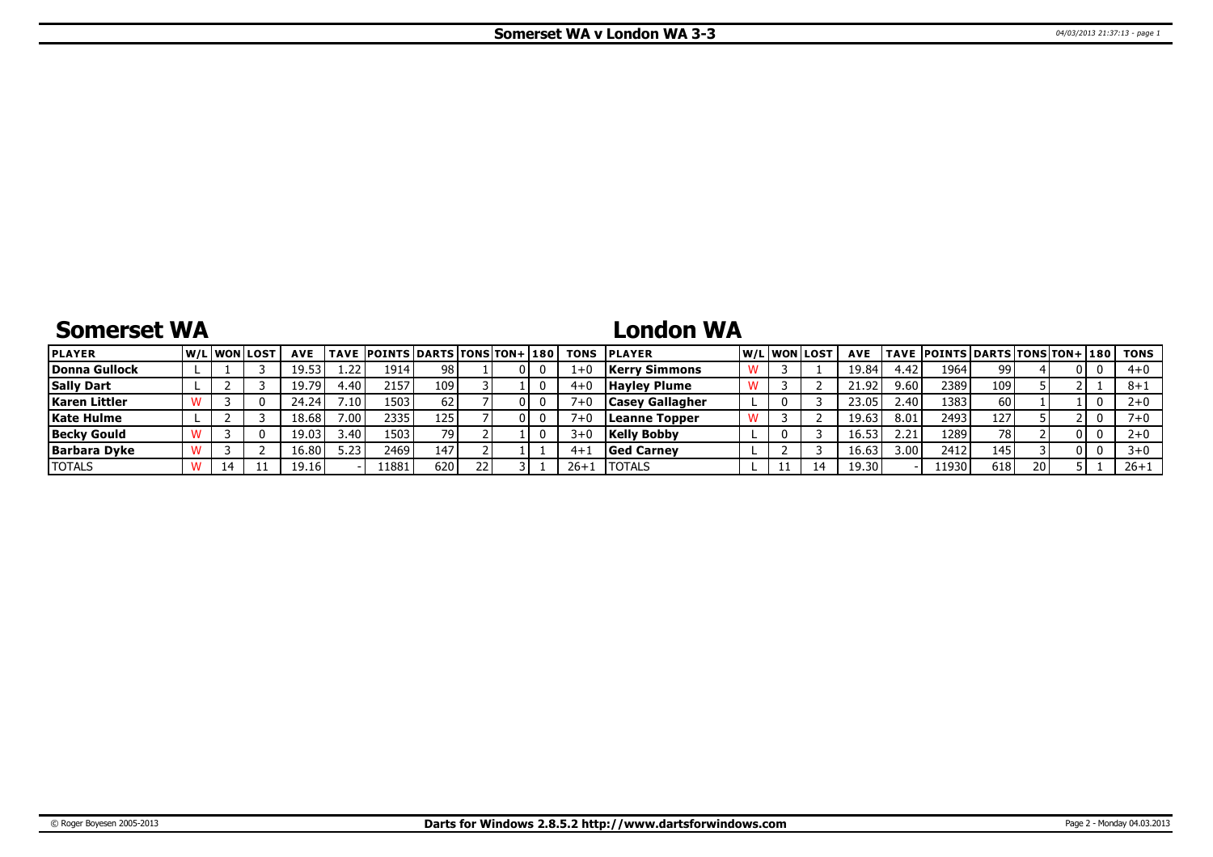### **Somerset WA**

## **London WA**

| <b>PLAYER</b>       |  | <u>IW/LIWONILOST</u> | <b>AVE</b> |             | TAVE   POINTS   DARTS   TONS   TON+   180 |     |  |          | <b>TONS PLAYER</b>     |  | lw/Llwonllost | <b>AVE</b> |      | TAVE  POINTS   DARTS   TONS   TON+   180 |     |      |     | TONS     |
|---------------------|--|----------------------|------------|-------------|-------------------------------------------|-----|--|----------|------------------------|--|---------------|------------|------|------------------------------------------|-----|------|-----|----------|
| Donna Gullock       |  |                      | 19.53      | 1.22'       | 1914                                      | 981 |  |          | <b>Kerry Simmons</b>   |  |               | 19.84      | 4.42 | 1964                                     | 99  |      | 0 I | $4 + 0$  |
| <b>Sally Dart</b>   |  |                      | 19.79      | <b>1.40</b> | 2157                                      | 109 |  | 4+L      | <b>Hayley Plume</b>    |  |               | 21.92      | 9.60 | 2389                                     | 109 |      |     | $8 + 1$  |
| Karen Littler       |  |                      | 24.24      | 7.10        | 1503                                      | 62  |  |          | <b>Casey Gallagher</b> |  |               | 23.05      | 2.40 | 1383                                     | 60  |      |     |          |
| <b>Kate Hulme</b>   |  |                      | 18.68      | 7.00.       | 2335                                      | 125 |  |          | Leanne Topper          |  |               | 19.63      | 8.01 | 2493                                     | 127 |      |     |          |
| <b>Becky Gould</b>  |  |                      | 19.03      | 40،         | 1503                                      | 791 |  | $3 + C$  | <b>Kelly Bobby</b>     |  |               | 16.5.      | 2.21 | 1289                                     | 78  |      | 0 I |          |
| <b>Barbara Dyke</b> |  |                      | 16.80      | 5.23        | 2469                                      | 147 |  | $4 + 1$  | <b>Ged Carney</b>      |  |               | 16.63      | 3.00 | 2412                                     | 145 |      | 0 I |          |
| <b>TOTALS</b>       |  |                      | 19.16      |             | l 1881                                    | 620 |  | $26 + 1$ | <b>ITOTALS</b>         |  |               | 19.30      |      | 11930                                    | 618 | ا 20 |     | $26 + 1$ |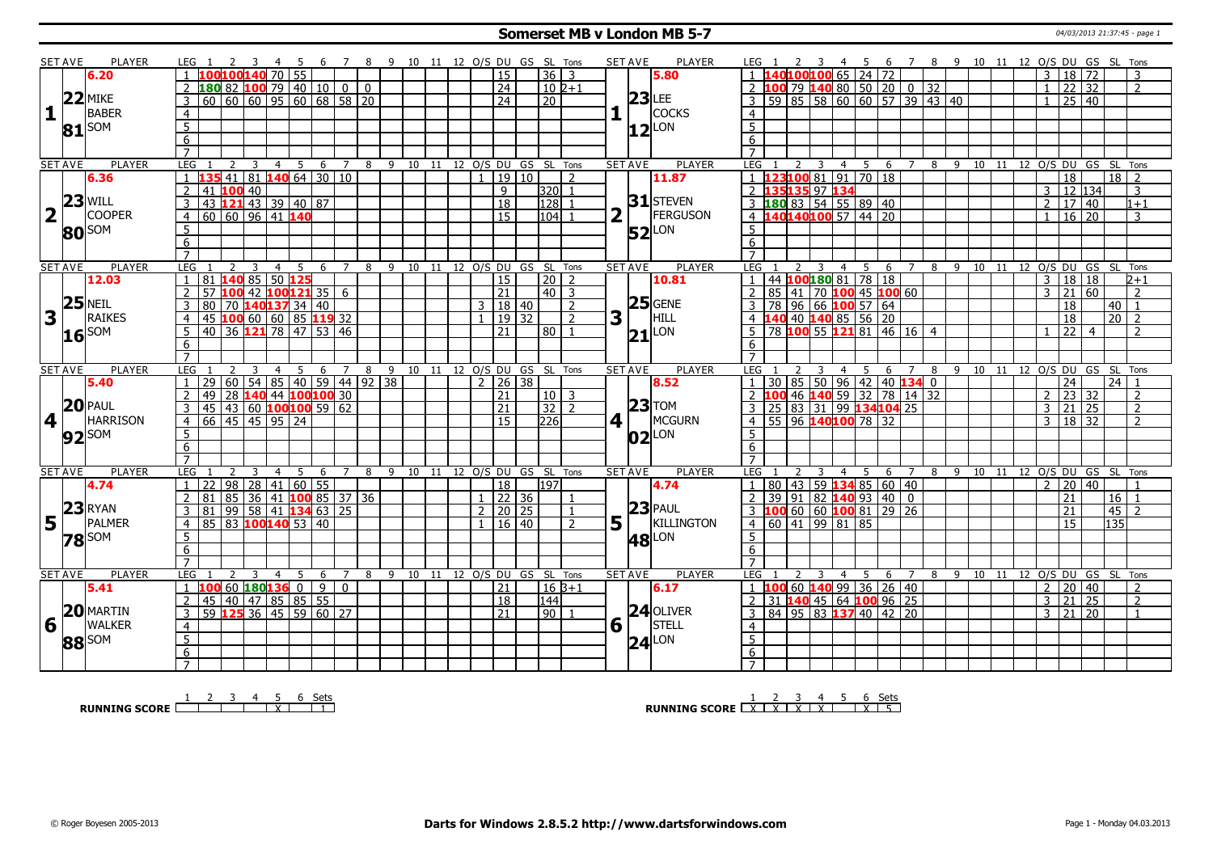#### **Somerset MB v London MB 5-7** 04/03/2013 21:37:45 - page 1

|              | <b>SET AVE</b>     | PLAYER            | LEG 1                                                                                                                                                                         | $-4$                             |    | 6 7 8 9 10 11 12 O/S DU GS SL Tons |   |                              |             |                     |                         |   | <b>SET AVE</b>                 | PLAYER              |                                                                                                                      |                     |          |                                        |                     |           |                       |                |                                    |                 |                                |
|--------------|--------------------|-------------------|-------------------------------------------------------------------------------------------------------------------------------------------------------------------------------|----------------------------------|----|------------------------------------|---|------------------------------|-------------|---------------------|-------------------------|---|--------------------------------|---------------------|----------------------------------------------------------------------------------------------------------------------|---------------------|----------|----------------------------------------|---------------------|-----------|-----------------------|----------------|------------------------------------|-----------------|--------------------------------|
|              |                    | 6.20              | 2 3<br>$100100140$ 70 55                                                                                                                                                      | - 5                              |    |                                    |   |                              |             | 15                  | $36 \mid 3$             |   |                                | 5.80                | LEG 1<br>2 3<br>1 140100100 65 24 72                                                                                 |                     |          | 4 5 6 7 8 9 10 11 12 O/S DU GS SL Tons |                     |           |                       | 3              | 18 72                              |                 | 3                              |
|              |                    |                   |                                                                                                                                                                               |                                  |    |                                    |   |                              |             | 24                  | $102+1$                 |   |                                |                     |                                                                                                                      |                     |          |                                        |                     |           |                       | $\mathbf{1}$   | $\overline{22}$<br>$\overline{32}$ |                 | $\overline{2}$                 |
|              |                    | $22$ MIKE         | 2 180 82 100 79 40 10 0 0<br>3 60 60 60 95 60 68 58 20                                                                                                                        |                                  |    |                                    |   |                              |             |                     |                         |   |                                | $23$ LEE            | 2 100 79 140 80 50 20 0 32<br>3 59 85 58 60 60 57 39 43 40                                                           |                     |          |                                        |                     |           |                       |                |                                    |                 |                                |
|              |                    | BABER             |                                                                                                                                                                               |                                  |    |                                    |   |                              |             | $\overline{24}$     | $\overline{20}$         |   |                                | <b>COCKS</b>        |                                                                                                                      |                     |          |                                        |                     |           |                       | $\mathbf{1}$   | 25                                 | 40              |                                |
| $\mathbf{1}$ |                    |                   | $\overline{4}$                                                                                                                                                                |                                  |    |                                    |   |                              |             |                     |                         |   |                                |                     | $\overline{4}$                                                                                                       |                     |          |                                        |                     |           |                       |                |                                    |                 |                                |
|              | 81                 | SOM               | $\overline{5}$                                                                                                                                                                |                                  |    |                                    |   |                              |             |                     |                         |   |                                | $ 12 $ LON          | $\overline{5}$                                                                                                       |                     |          |                                        |                     |           |                       |                |                                    |                 |                                |
|              |                    |                   | $\overline{6}$                                                                                                                                                                |                                  |    |                                    |   |                              |             |                     |                         |   |                                |                     | $\overline{6}$                                                                                                       |                     |          |                                        |                     |           |                       |                |                                    |                 |                                |
|              |                    |                   | $\overline{7}$                                                                                                                                                                |                                  |    |                                    |   |                              |             |                     |                         |   |                                |                     |                                                                                                                      |                     |          |                                        |                     |           |                       |                |                                    |                 |                                |
|              | <b>SET AVE</b>     | PLAYER            | LEG<br><sup>2</sup><br>$\overline{\mathbf{3}}$                                                                                                                                | $\overline{5}$<br>$\overline{4}$ |    | 6 7 8 9 10 11 12 0/S DU GS SL Tons |   |                              |             |                     |                         |   | <b>SET AVE</b>                 | <b>PLAYER</b>       | LEG 1<br>2 3                                                                                                         |                     |          | 4 5 6 7 8 9 10 11 12 O/S DU GS SL Tons |                     |           |                       |                |                                    |                 |                                |
|              |                    | 6.36              | $\frac{1}{41}$ 81 <b>140</b> 64 30 10                                                                                                                                         |                                  |    |                                    |   |                              |             | 19 10               | $\overline{2}$          |   |                                | 11.87               | 23100 81 91 70 18                                                                                                    |                     |          |                                        |                     |           |                       |                | 18                                 |                 | $18$   2                       |
|              |                    |                   | 41 100 40                                                                                                                                                                     |                                  |    |                                    |   |                              |             | 9                   | $320$<br>$\overline{1}$ |   |                                |                     | 2 135135 97 134                                                                                                      |                     |          |                                        |                     |           |                       | 3              | 12 134                             |                 | 3                              |
|              |                    | $23$ WILL         | 43 121 43 39 40 87<br>$\overline{3}$                                                                                                                                          |                                  |    |                                    |   |                              |             | $\overline{18}$     | $\overline{128}$        |   |                                | $31$ STEVEN         |                                                                                                                      |                     |          |                                        |                     |           |                       | $\overline{2}$ | $17$ 40                            |                 | $1+1$                          |
|              | $\mathbb T$        | <b>COOPER</b>     | 60   60   96   41   140<br>$\overline{4}$                                                                                                                                     |                                  |    |                                    |   |                              |             | 15                  | 104                     |   |                                | FERGUSON            | 3 180 83 54 55 89 40<br>4 140140100 57 44 20                                                                         |                     |          |                                        |                     |           |                       | $\mathbf{1}$   | $16 \mid 20$                       |                 | 3                              |
|              |                    | 80 SOM            | $5^{\circ}$                                                                                                                                                                   |                                  |    |                                    |   |                              |             |                     |                         |   |                                | $52$ <sup>LON</sup> | -5                                                                                                                   |                     |          |                                        |                     |           |                       |                |                                    |                 |                                |
|              |                    |                   | 6                                                                                                                                                                             |                                  |    |                                    |   |                              |             |                     |                         |   |                                |                     | 6                                                                                                                    |                     |          |                                        |                     |           |                       |                |                                    |                 |                                |
|              |                    |                   | $\overline{7}$                                                                                                                                                                |                                  |    |                                    |   |                              |             |                     |                         |   |                                |                     | $\overline{7}$                                                                                                       |                     |          |                                        |                     |           |                       |                |                                    |                 |                                |
|              | <b>SET AVE</b>     | <b>PLAYER</b>     | LEG<br>3                                                                                                                                                                      | 5<br>$\overline{4}$              | 6  | $\overline{7}$<br>8                | 9 | 10 11 12 O/S DU GS SL Tons   |             |                     |                         |   | <b>SET AVE</b>                 | <b>PLAYER</b>       | <b>LEG</b><br>$\mathbf{3}$                                                                                           | $\overline{4}$      | 5<br>6   | 7 8 9 10 11 12 0/S DU GS SL Tons       |                     |           |                       |                |                                    |                 |                                |
|              |                    | 12.03             | 81 140 85 50 125<br>$\overline{1}$                                                                                                                                            |                                  |    |                                    |   |                              |             | 15                  | 20   2                  |   |                                | 10.81               | 1 44 100 180 81 78 18                                                                                                |                     |          |                                        |                     |           |                       | 3              | 18 18                              |                 | $2 + 1$                        |
|              |                    |                   | $57$ 100 42 100 121 35 6<br>2                                                                                                                                                 |                                  |    |                                    |   |                              |             | 21                  | $\boxed{40}$ 3          |   |                                |                     | 2 85 41 70 100 45 100 60                                                                                             |                     |          |                                        |                     |           |                       | 3              | $\overline{21}$                    | 60              | $\overline{2}$                 |
|              | 25                 | <b>NEIL</b>       | <b>80</b> 70 <b>140137</b> 34 40<br>45 <b>100</b> 60 60 85 <b>119</b> 32<br>40 36 <b>121</b> 78 47 53 46<br>3                                                                 |                                  |    |                                    |   |                              |             | 3   18   40         | $\overline{2}$          |   |                                | $25$ GENE           | 3 78 96 66 100 57 64<br>4 140 40 140 85 56 20                                                                        |                     |          |                                        |                     |           |                       |                | 18                                 | 40              | $\overline{1}$                 |
| 3            |                    | RAIKES            | $\overline{4}$                                                                                                                                                                |                                  |    |                                    |   |                              |             | 19 32               | $\overline{2}$          | 3 | $\vert$ 1                      | HILL                |                                                                                                                      |                     |          |                                        |                     |           |                       |                | 18                                 | $\overline{20}$ | $\overline{2}$                 |
|              |                    | $16$ SOM          | 5                                                                                                                                                                             |                                  |    |                                    |   |                              |             | 21                  | 80                      |   |                                | $21$ LON            | 78 100 55 121 81 46 16 4                                                                                             |                     |          |                                        |                     |           |                       |                | 22                                 | $\overline{4}$  | $\overline{2}$                 |
|              |                    |                   | 6                                                                                                                                                                             |                                  |    |                                    |   |                              |             |                     |                         |   |                                |                     | 6                                                                                                                    |                     |          |                                        |                     |           |                       |                |                                    |                 |                                |
|              |                    |                   | $\overline{7}$                                                                                                                                                                |                                  |    |                                    |   |                              |             |                     |                         |   |                                |                     |                                                                                                                      |                     |          |                                        |                     |           |                       |                |                                    |                 |                                |
|              | <b>SET AVE</b>     | <b>PLAYER</b>     | LEG                                                                                                                                                                           | $\overline{4}$<br>5              | 6  | 7<br>8                             | 9 | 10 11 12 O/S DU GS SL Tons   |             |                     |                         |   | <b>SET AVE</b>                 | <b>PLAYER</b>       | LEG                                                                                                                  | 4                   | 6<br>5   |                                        | $\overline{9}$<br>8 |           | 10 11 12 0/S DU GS SL |                |                                    |                 | Tons                           |
|              |                    |                   |                                                                                                                                                                               |                                  |    |                                    |   |                              |             |                     |                         |   |                                |                     |                                                                                                                      |                     |          |                                        |                     |           |                       |                |                                    |                 |                                |
|              |                    |                   |                                                                                                                                                                               |                                  |    |                                    |   |                              |             |                     |                         |   |                                |                     |                                                                                                                      |                     |          |                                        |                     |           |                       |                |                                    |                 |                                |
|              |                    | 5.40              | 29 60 54 85 40 59 44 92 38<br>$\mathbf{1}$                                                                                                                                    |                                  |    |                                    |   |                              |             | $2 \mid 26 \mid 38$ |                         |   |                                | 8.52                |                                                                                                                      |                     |          |                                        |                     |           |                       |                | $\overline{24}$                    | 24              | $\overline{z}$                 |
|              |                    |                   | 49 28 140 44 100 100 30<br>2                                                                                                                                                  |                                  |    |                                    |   |                              |             | 21                  | $10 \mid 3$             |   |                                |                     |                                                                                                                      |                     |          |                                        |                     |           |                       | $\overline{2}$ | $\overline{23}$<br>32              |                 |                                |
|              |                    | $20$ PAUL         | $\overline{3}$                                                                                                                                                                |                                  |    |                                    |   |                              |             | $\overline{21}$     | $32 \mid 2$             |   |                                | $ 23 $ TOM          |                                                                                                                      |                     |          |                                        |                     |           |                       | 3              | $21 \mid 25$                       |                 | $\overline{2}$                 |
|              | 4 <sup>1</sup>     | <b>HARRISON</b>   | $\frac{125}{145}$ $\frac{125}{160}$ $\frac{100}{100}$ $\frac{100}{100}$ $\frac{59}{162}$ $\frac{62}{166}$ $\frac{45}{145}$ $\frac{45}{195}$ $\frac{95}{24}$<br>$\overline{4}$ |                                  |    |                                    |   |                              |             | 15                  | 226                     |   | $4$   $\overline{\phantom{0}}$ | MCGURN              | <u>1 30 85 50 96 42 40 134 0</u><br>2 100 46 140 59 32 78 14 32<br>3 25 83 31 99 134 104 25<br>4 55 96 140 100 78 32 |                     |          |                                        |                     |           |                       | $\mathcal{E}$  | $18 \mid 32$                       |                 | $\overline{2}$                 |
|              |                    | 92 <sup>SOM</sup> | 5                                                                                                                                                                             |                                  |    |                                    |   |                              |             |                     |                         |   |                                | $ 02 ^{LON}$        | 5                                                                                                                    |                     |          |                                        |                     |           |                       |                |                                    |                 |                                |
|              |                    |                   | 6<br>$\overline{7}$                                                                                                                                                           |                                  |    |                                    |   |                              |             |                     |                         |   |                                |                     | 6<br>$\overline{7}$                                                                                                  |                     |          |                                        |                     |           |                       |                |                                    |                 |                                |
|              |                    |                   | $\overline{z}$<br>3                                                                                                                                                           |                                  |    | $\overline{7}$                     |   |                              |             |                     |                         |   |                                |                     |                                                                                                                      |                     |          |                                        |                     |           |                       |                |                                    |                 |                                |
|              | <b>SET AVE</b>     | PLAYER            | <b>LEG</b><br>  22                                                                                                                                                            | 5<br>$\overline{4}$              | -6 | 8                                  | 9 | 10 11 12 0/S DU GS SL Tons   |             |                     |                         |   | <b>SET AVE</b>                 | <b>PLAYER</b>       | <b>LEG</b>                                                                                                           | 5<br>$\overline{4}$ | 6        | $\overline{7}$                         |                     |           |                       |                |                                    |                 | 8 9 10 11 12 O/S DU GS SL Tons |
|              |                    | 4.74              | 98<br>28<br>$\overline{1}$                                                                                                                                                    | 41 60 55                         |    |                                    |   |                              |             | $\overline{18}$     | 197                     |   |                                | 4.74                | 1   80   43   59   134   85   60   40                                                                                |                     |          |                                        |                     |           |                       | $\overline{2}$ | 20 40                              |                 |                                |
|              |                    |                   | 85 36 41 100 85 37 36<br>2<br>81                                                                                                                                              |                                  |    |                                    |   |                              |             | $1 \mid 22 \mid 36$ |                         |   |                                |                     | $2$ 39 91 82 140 93 40 0                                                                                             |                     |          |                                        |                     |           |                       |                | 21                                 | 16              |                                |
|              |                    | <b>RYAN</b>       | 81 99 58 41 134 63 25<br>3                                                                                                                                                    |                                  |    |                                    |   |                              | $2^{\circ}$ | 20 25               |                         |   |                                | $23$ PAUL           | $3$ 100 60 60 100 81 29 26                                                                                           |                     |          |                                        |                     |           |                       |                | 21                                 | 45              | $\overline{z}$                 |
|              | $15\frac{ 23 }{ }$ | PALMER            | 85 83 100 140 53 40<br>$\overline{4}$                                                                                                                                         |                                  |    |                                    |   |                              |             | $16 \mid 40$        | $\overline{2}$          |   | $5\vert$                       | KILLINGTON          | 4   60   41   99   81   85                                                                                           |                     |          |                                        |                     |           |                       |                | 15                                 | 135             |                                |
|              |                    | <b>78</b> SOM     | 5                                                                                                                                                                             |                                  |    |                                    |   |                              |             |                     |                         |   |                                | <b>48</b> LON       | $\overline{5}$                                                                                                       |                     |          |                                        |                     |           |                       |                |                                    |                 |                                |
|              |                    |                   | 6                                                                                                                                                                             |                                  |    |                                    |   |                              |             |                     |                         |   |                                |                     | 6                                                                                                                    |                     |          |                                        |                     |           |                       |                |                                    |                 |                                |
|              |                    |                   | $\overline{7}$                                                                                                                                                                |                                  |    |                                    |   |                              |             |                     |                         |   |                                |                     | $\overline{7}$                                                                                                       |                     |          |                                        |                     |           |                       |                |                                    |                 |                                |
|              | <b>SET AVE</b>     | PLAYER            | <b>LEG</b><br>$\mathcal{L}$<br>-3                                                                                                                                             | $\overline{4}$<br>-5             | -6 | 7                                  | 8 | 9 10 11 12 O/S DU GS SL Tons |             |                     |                         |   | <b>SET AVE</b>                 | <b>PLAYER</b>       | LEG<br>3                                                                                                             | $\overline{4}$      | 5<br>- 6 | $\overline{7}$                         |                     | 8 9 10 11 |                       |                |                                    |                 | 12 O/S DU GS SL Tons           |
|              |                    | 5.41              | 1 100 60 180 136 0                                                                                                                                                            |                                  | 9  | $\overline{0}$                     |   |                              |             | 21                  | l 16 B+1                |   |                                | 6.17                | 1 <b>100</b> 60 <b>140</b> 99 36 26 40                                                                               |                     |          |                                        |                     |           |                       | $\overline{2}$ | 20 40                              |                 | $\mathcal{L}$                  |
|              |                    |                   | 45 40 47 85 85 55<br>2                                                                                                                                                        |                                  |    |                                    |   |                              |             | $\overline{18}$     | 144                     |   |                                |                     | $2$ 31 <b>140</b> 45 64 <b>100</b> 96 25                                                                             |                     |          |                                        |                     |           |                       | $\overline{3}$ | $\overline{21}$                    | $\overline{25}$ | 2                              |
|              |                    | 20 MARTIN         | 59 125 36 45 59 60 27<br>$\overline{3}$                                                                                                                                       |                                  |    |                                    |   |                              |             | $\overline{21}$     | 90 1                    |   |                                | $24$ OLIVER         | 3   84   95   83   137   40   42   20                                                                                |                     |          |                                        |                     |           |                       |                | $3 \mid 21 \mid 20$                |                 | $\overline{1}$                 |
| 6            |                    | WALKER            | $\overline{4}$                                                                                                                                                                |                                  |    |                                    |   |                              |             |                     |                         |   | $6\sqrt{ }$                    | STELL               | $\overline{4}$                                                                                                       |                     |          |                                        |                     |           |                       |                |                                    |                 |                                |
|              |                    | 88 SOM            | $\overline{5}$                                                                                                                                                                |                                  |    |                                    |   |                              |             |                     |                         |   |                                | $24$ <sup>LON</sup> | $\overline{5}$                                                                                                       |                     |          |                                        |                     |           |                       |                |                                    |                 |                                |
|              |                    |                   | $6\overline{6}$<br>$7^{\circ}$                                                                                                                                                |                                  |    |                                    |   |                              |             |                     |                         |   |                                |                     | 6<br>$7^{\circ}$                                                                                                     |                     |          |                                        |                     |           |                       |                |                                    |                 |                                |

**RUNNING SCORE** <u>1 2 3 4 5 6 Sets</u><br>
2 3 4 5 6 Sets

**RUNNING SCORE** 
<u>
LATA 
I 
X 
I 
X 
I 
X 
I 
X 
I 
X 
I 
X 
I 
X 
I 
X 
I 
X 
I 
S</u>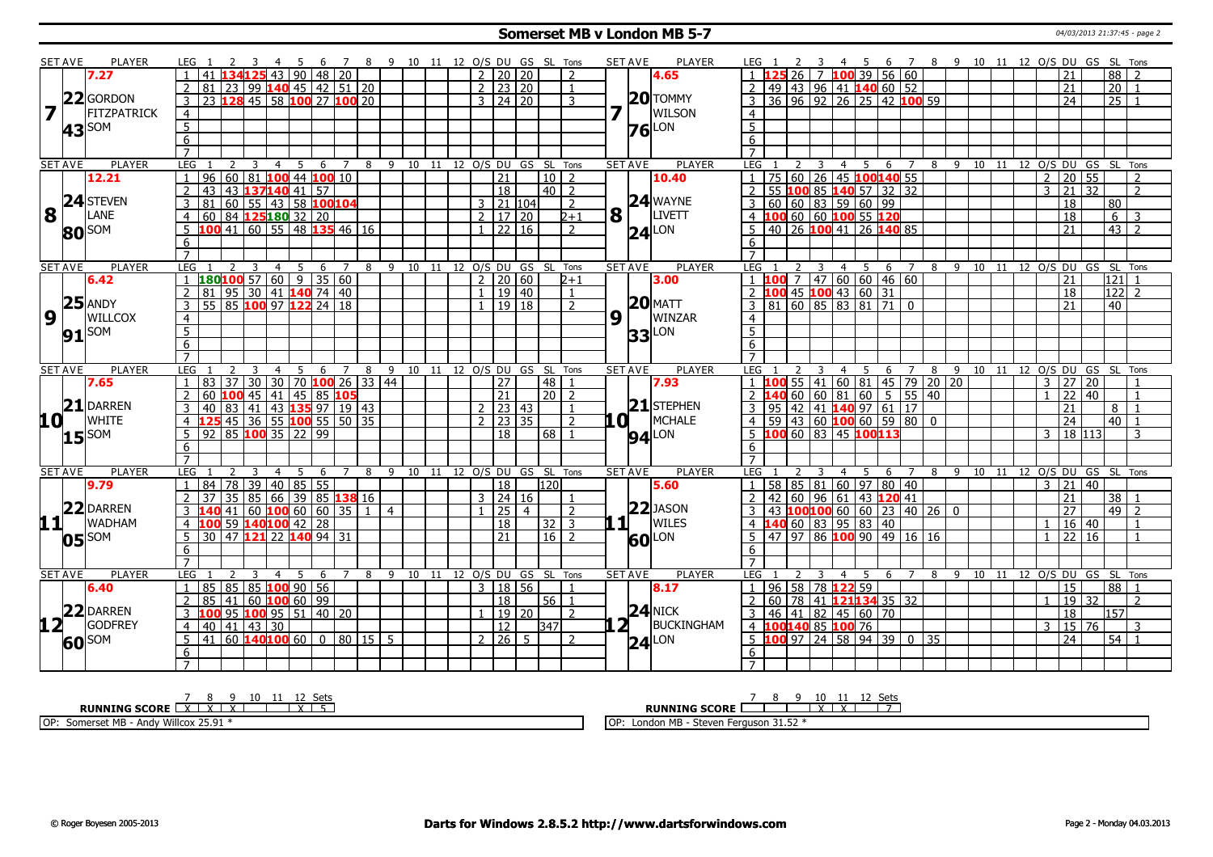#### **Somerset MB v London MB 5-7** 04/03/2013 21:37:45 - page 2

|                 | <b>SET AVE</b> | <b>PLAYER</b>                            | LEG 1               |                                                               |                 | -3                                      |                | 45                   |    |                    |                |                |           |    |     |                     |                |                                | 6 7 8 9 10 11 12 O/S DU GS SL Tons |   | <b>SET AVE</b>                        | <b>PLAYER</b>       | LEG 1                            |     |    |                         |                    |       |                                    |                                                                                                                |                                                   |            | 4 5 6 7 8 9 10 11 12 O/S DU GS SL Tons |    |                                |                |                     |                 |                    |                |
|-----------------|----------------|------------------------------------------|---------------------|---------------------------------------------------------------|-----------------|-----------------------------------------|----------------|----------------------|----|--------------------|----------------|----------------|-----------|----|-----|---------------------|----------------|--------------------------------|------------------------------------|---|---------------------------------------|---------------------|----------------------------------|-----|----|-------------------------|--------------------|-------|------------------------------------|----------------------------------------------------------------------------------------------------------------|---------------------------------------------------|------------|----------------------------------------|----|--------------------------------|----------------|---------------------|-----------------|--------------------|----------------|
|                 |                | 7.27                                     |                     | 41                                                            |                 |                                         |                | $143$   90   48   20 |    |                    |                |                |           |    | 2 l |                     | 20 20          |                                | 2                                  |   |                                       | 4.65                |                                  |     | 26 |                         |                    |       |                                    | 7 100 39 56 60                                                                                                 |                                                   |            |                                        |    |                                |                | 21                  |                 | 88                 |                |
|                 |                |                                          | 2                   | $\overline{81}$                                               |                 | 23 99 140 45 42 51 20                   |                |                      |    |                    |                |                |           |    |     | $2 \mid 23 \mid 20$ |                |                                | $\mathbf{1}$                       |   |                                       |                     |                                  |     |    |                         |                    |       |                                    | 49 43 96 41 140 60 52                                                                                          |                                                   |            |                                        |    |                                |                | 21                  |                 | $\overline{20}$    | $\overline{1}$ |
|                 |                | 22 GORDON                                | $\overline{3}$      | 23 128 45 58 100 27 100 20                                    |                 |                                         |                |                      |    |                    |                |                |           |    |     | $3 \mid 24 \mid 20$ |                |                                | 3                                  |   |                                       | $20$ TOMMY          | 3                                |     |    |                         |                    |       |                                    |                                                                                                                | 36 96 92 26 25 42 100 59                          |            |                                        |    |                                |                | $\overline{24}$     |                 | $\overline{25}$    |                |
|                 |                | FITZPATRICK                              |                     |                                                               |                 |                                         |                |                      |    |                    |                |                |           |    |     |                     |                |                                |                                    |   |                                       | WILSON              |                                  |     |    |                         |                    |       |                                    |                                                                                                                |                                                   |            |                                        |    |                                |                |                     |                 |                    |                |
|                 |                |                                          | $\overline{4}$      |                                                               |                 |                                         |                |                      |    |                    |                |                |           |    |     |                     |                |                                |                                    |   |                                       |                     | $\overline{4}$                   |     |    |                         |                    |       |                                    |                                                                                                                |                                                   |            |                                        |    |                                |                |                     |                 |                    |                |
|                 |                | $43$ <sup>SOM</sup>                      | $\overline{5}$      |                                                               |                 |                                         |                |                      |    |                    |                |                |           |    |     |                     |                |                                |                                    |   |                                       | $76$ <sup>LON</sup> | $\overline{5}$                   |     |    |                         |                    |       |                                    |                                                                                                                |                                                   |            |                                        |    |                                |                |                     |                 |                    |                |
|                 |                |                                          | 6                   |                                                               |                 |                                         |                |                      |    |                    |                |                |           |    |     |                     |                |                                |                                    |   |                                       |                     | $6\overline{6}$                  |     |    |                         |                    |       |                                    |                                                                                                                |                                                   |            |                                        |    |                                |                |                     |                 |                    |                |
|                 |                |                                          | $\overline{7}$      |                                                               |                 |                                         |                |                      |    |                    |                |                |           |    |     |                     |                |                                |                                    |   |                                       |                     | $\overline{7}$                   |     |    |                         |                    |       |                                    |                                                                                                                |                                                   |            |                                        |    |                                |                |                     |                 |                    |                |
|                 | <b>SET AVE</b> | PLAYER                                   | <b>LEG</b>          |                                                               | <sup>2</sup>    | $\overline{3}$                          | $\overline{4}$ | 5                    | 6  | $\overline{7}$     |                |                |           |    |     |                     |                | 8 9 10 11 12 O/S DU GS SL Tons |                                    |   | <b>SET AVE</b>                        | PLAYER              | LEG 1                            |     |    | $\overline{\mathbf{3}}$ |                    | 4 5   | 6                                  | $\overline{7}$                                                                                                 |                                                   |            |                                        |    | 8 9 10 11 12 O/S DU GS SL Tons |                |                     |                 |                    |                |
|                 |                | 12.21                                    | $\overline{1}$      | 96   60   81   <mark>100</mark> 44   <mark>100</mark> 10      |                 |                                         |                |                      |    |                    |                |                |           |    |     | $\overline{21}$     |                | $10\overline{2}$               |                                    |   |                                       | 10.40               |                                  |     |    |                         |                    |       |                                    | 75 60 26 45 100140 55                                                                                          |                                                   |            |                                        |    |                                | $\overline{2}$ | $\overline{20}$     | 55              |                    | $\overline{2}$ |
|                 |                |                                          | $\overline{2}$      | 43                                                            |                 | 43 137140 41 57                         |                |                      |    |                    |                |                |           |    |     | $\overline{18}$     |                | 40   2                         |                                    |   |                                       |                     | $\overline{z}$                   |     |    |                         |                    |       | 55 100 85 140 57 32 32             |                                                                                                                |                                                   |            |                                        |    |                                |                | $3 \mid 21 \mid 32$ |                 |                    | $\overline{2}$ |
|                 |                | $\mid 8 \mid$ <sup>24</sup> Steven       | 3                   | 81                                                            |                 | 60   55   43   58 <mark>100</mark> 104  |                |                      |    |                    |                |                |           |    |     | $3$   21   104      |                |                                | 2                                  |   |                                       | $24$ WAYNE          |                                  |     |    |                         |                    |       | 60   60   83   59   60   99        |                                                                                                                |                                                   |            |                                        |    |                                |                | 18                  |                 | 80                 |                |
|                 |                |                                          | $\overline{4}$      | 60 84 125 180 32 20                                           |                 |                                         |                |                      |    |                    |                |                |           |    |     | 2   17   20         |                |                                | $2 + 1$                            |   | $\mathbf{8}$ $\overline{\phantom{1}}$ | LIVETT              |                                  | 100 |    |                         |                    |       | 60 60 100 55 120                   |                                                                                                                |                                                   |            |                                        |    |                                |                | 18                  |                 | 6 I                | 3              |
|                 |                | 80 SOM                                   | 5                   | $100$ 41 60 55 48 135 46 16                                   |                 |                                         |                |                      |    |                    |                |                |           |    |     | $1$   22   16       |                |                                | $\mathcal{P}$                      |   |                                       | $24$ <sup>LON</sup> | .5.                              |     |    |                         |                    |       |                                    | 40 26 100 41 26 140 85                                                                                         |                                                   |            |                                        |    |                                |                | $\overline{21}$     |                 | $43\overline{2}$   |                |
|                 |                |                                          | 6                   |                                                               |                 |                                         |                |                      |    |                    |                |                |           |    |     |                     |                |                                |                                    |   |                                       |                     | 6                                |     |    |                         |                    |       |                                    |                                                                                                                |                                                   |            |                                        |    |                                |                |                     |                 |                    |                |
|                 |                |                                          | $\overline{7}$      |                                                               |                 |                                         |                |                      |    |                    |                |                |           |    |     |                     |                |                                |                                    |   |                                       |                     | $\overline{7}$                   |     |    |                         |                    |       |                                    |                                                                                                                |                                                   |            |                                        |    |                                |                |                     |                 |                    |                |
|                 | <b>SET AVE</b> | <b>PLAYER</b>                            | LEG                 |                                                               |                 | 3                                       | $\overline{4}$ | 5                    | 6  | $7^{\circ}$        | 8              | 9              |           |    |     |                     |                | 10 11 12 0/S DU GS SL Tons     |                                    |   | <b>SET AVE</b>                        | <b>PLAYER</b>       | LEG                              |     |    |                         |                    |       | 4 5 6 7                            |                                                                                                                | 8                                                 |            | $9 \overline{10}$                      | 11 | 12 O/S DU GS SL Tons           |                |                     |                 |                    |                |
|                 |                | 6.42                                     | $\overline{1}$      | $180100$ 57 60 9 35 60                                        |                 |                                         |                |                      |    |                    |                |                |           |    |     | $2 \mid 20 \mid 60$ |                |                                | $2 + 1$                            |   |                                       | 3.00                | 1,100                            |     |    |                         |                    |       |                                    | 7   47   60   60   46   60                                                                                     |                                                   |            |                                        |    |                                |                | 21                  |                 | 121                | $\overline{1}$ |
|                 |                |                                          | $\overline{2}$      | 81                                                            |                 | 95   30   41   <mark>140</mark> 74   40 |                |                      |    |                    |                |                |           |    |     | 1   19   40         |                |                                | $\mathbf{1}$                       |   |                                       |                     | $2$ 100                          |     |    |                         |                    |       | 45 100 43 60 31                    |                                                                                                                |                                                   |            |                                        |    |                                |                | 18                  |                 | $\overline{122}$ 2 |                |
|                 |                | $25$ ANDY                                | $\overline{3}$      | 55 85 100 97 122 24 18                                        |                 |                                         |                |                      |    |                    |                |                |           |    |     | $1 \mid 19 \mid 18$ |                |                                | $\overline{z}$                     |   |                                       | $20$ MATT           |                                  |     |    |                         |                    |       | 3 81 60 85 83 81 71 0              |                                                                                                                |                                                   |            |                                        |    |                                |                | 21                  |                 | 40                 |                |
| 9 1             |                | WILLCOX                                  |                     |                                                               |                 |                                         |                |                      |    |                    |                |                |           |    |     |                     |                |                                |                                    | 9 |                                       | WINZAR              |                                  |     |    |                         |                    |       |                                    |                                                                                                                |                                                   |            |                                        |    |                                |                |                     |                 |                    |                |
|                 |                |                                          | $\overline{4}$      |                                                               |                 |                                         |                |                      |    |                    |                |                |           |    |     |                     |                |                                |                                    |   |                                       |                     | $\overline{4}$<br>$\overline{5}$ |     |    |                         |                    |       |                                    |                                                                                                                |                                                   |            |                                        |    |                                |                |                     |                 |                    |                |
|                 |                | 91 <sup>SOM</sup>                        | $\overline{5}$      |                                                               |                 |                                         |                |                      |    |                    |                |                |           |    |     |                     |                |                                |                                    |   | 33 <sub>l</sub>                       | LON                 |                                  |     |    |                         |                    |       |                                    |                                                                                                                |                                                   |            |                                        |    |                                |                |                     |                 |                    |                |
|                 |                |                                          | 6                   |                                                               |                 |                                         |                |                      |    |                    |                |                |           |    |     |                     |                |                                |                                    |   |                                       |                     | 6                                |     |    |                         |                    |       |                                    |                                                                                                                |                                                   |            |                                        |    |                                |                |                     |                 |                    |                |
|                 |                |                                          | $\overline{7}$      |                                                               |                 |                                         |                |                      |    | $\bar{z}$          |                |                |           |    |     |                     |                |                                |                                    |   |                                       |                     |                                  |     |    |                         |                    |       |                                    |                                                                                                                |                                                   |            |                                        |    |                                |                |                     |                 |                    |                |
|                 |                |                                          |                     |                                                               |                 |                                         | 4              | -5                   | 6  |                    | 8              |                |           |    |     |                     |                |                                | 9 10 11 12 0/S DU GS SL Tons       |   | <b>SET AVE</b>                        | <b>PLAYER</b>       | LEG                              |     |    |                         | $\overline{4}$     | - 5   | 6                                  | $\overline{7}$                                                                                                 | 8                                                 |            |                                        |    | 10 11 12 0/S DU GS SL Tons     |                |                     |                 |                    |                |
|                 | <b>SET AVE</b> | <b>PLAYER</b>                            | LEG                 |                                                               |                 |                                         |                |                      |    |                    |                |                |           |    |     |                     |                |                                |                                    |   |                                       |                     |                                  |     |    |                         |                    |       |                                    |                                                                                                                |                                                   | $\sqrt{9}$ |                                        |    |                                |                |                     |                 |                    |                |
|                 |                | 7.65                                     |                     | 83                                                            | 37              | 30                                      | 30             |                      |    | $\sqrt{70}$ 100 26 |                | 33 44          |           |    |     | 27                  |                | 48                             |                                    |   |                                       | 7.93                |                                  |     |    | $55$ 41                 |                    | 60 81 |                                    |                                                                                                                | 45 79 20 20                                       |            |                                        |    | 3                              |                | 27                  | 20              |                    |                |
|                 |                |                                          | $\overline{2}$      | 60                                                            | 100             | 45 41 45 85 105                         |                |                      |    |                    |                |                |           |    |     | 21                  |                | 2012                           |                                    |   |                                       |                     |                                  |     |    |                         |                    |       |                                    | $\overline{60}$ $\overline{60}$ $\overline{81}$ $\overline{60}$ $\overline{5}$ $\overline{55}$ $\overline{40}$ |                                                   |            |                                        |    |                                |                | 22                  | 40 <sup>1</sup> |                    |                |
|                 |                | $21$ DARREN                              | 3                   | 40                                                            | 83              | 41   43 <mark>135</mark> 97   19   43   |                |                      |    |                    |                |                |           |    |     | $2 \mid 23 \mid 43$ |                |                                |                                    |   |                                       | $21$ STEPHEN        |                                  | 95  |    |                         |                    |       |                                    | 42 41 140 97 61 17                                                                                             |                                                   |            |                                        |    |                                |                | 21                  |                 | 8 <sup>1</sup>     | $\overline{1}$ |
|                 |                | <b>WHITE</b>                             | $\overline{4}$      |                                                               |                 |                                         |                |                      |    |                    |                |                |           |    |     | $2 \mid 23 \mid 35$ |                |                                | $\overline{2}$                     |   | .O +                                  | MCHALE              |                                  |     |    |                         |                    |       |                                    |                                                                                                                |                                                   |            |                                        |    |                                |                | 24                  |                 | $40$   1           |                |
|                 |                |                                          | 5                   | $\frac{125}{125}$ 45 36 55 100 55 50 35<br>92 85 100 35 22 99 |                 |                                         |                |                      |    |                    |                |                |           |    |     | 18                  |                | 68                             | $\overline{1}$                     |   |                                       |                     |                                  |     |    |                         |                    |       |                                    | 4 59 43 60 100 60 59 80 0<br>5 100 60 83 45 100 113                                                            |                                                   |            |                                        |    |                                | 3              | 18 113              |                 |                    | 3              |
|                 |                | $15$ SOM                                 | 6                   |                                                               |                 |                                         |                |                      |    |                    |                |                |           |    |     |                     |                |                                |                                    |   |                                       | <b>94</b> LON       | 6                                |     |    |                         |                    |       |                                    |                                                                                                                |                                                   |            |                                        |    |                                |                |                     |                 |                    |                |
|                 |                |                                          | $\overline{7}$      |                                                               |                 |                                         |                |                      |    |                    |                |                |           |    |     |                     |                |                                |                                    |   |                                       |                     | $\overline{7}$                   |     |    |                         |                    |       |                                    |                                                                                                                |                                                   |            |                                        |    |                                |                |                     |                 |                    |                |
|                 | <b>SET AVE</b> | <b>PLAYER</b>                            | <b>LEG</b>          |                                                               |                 |                                         | 4              | -5                   | -6 |                    | 8              | 9              |           |    |     |                     |                |                                | 10 11 12 O/S DU GS SL Tons         |   | <b>SET AVE</b>                        | <b>PLAYER</b>       | <b>LEG</b>                       |     |    |                         | $\overline{4}$     |       | 6                                  | $\overline{7}$                                                                                                 |                                                   |            |                                        |    | 8 9 10 11 12 0/S DU GS SL Tons |                |                     |                 |                    |                |
|                 |                | 9.79                                     | 1                   | 84 ا                                                          |                 | 78   39   40   85   55                  |                |                      |    |                    |                |                |           |    |     | $\overline{18}$     |                | 120                            |                                    |   |                                       | 5.60                | $\overline{1}$                   |     |    |                         |                    |       |                                    | 58 85 81 60 97 80 40                                                                                           |                                                   |            |                                        |    |                                | 3   21         |                     | $ 40\rangle$    |                    |                |
|                 |                |                                          | 2                   | 37                                                            |                 |                                         |                |                      |    |                    |                |                |           |    |     |                     |                |                                |                                    |   |                                       |                     |                                  |     |    |                         |                    |       |                                    |                                                                                                                |                                                   |            |                                        |    |                                |                | 21                  |                 |                    | -1             |
|                 |                |                                          | 3                   |                                                               | 41              | 35   85   66   39   85 <b>138</b> 16    |                |                      |    |                    | $\overline{1}$ | $\overline{4}$ |           |    |     | 3   24   16         | $\overline{4}$ |                                | 2                                  |   |                                       |                     |                                  |     |    |                         |                    |       | 142   60   96   61   43   120   41 |                                                                                                                |                                                   |            |                                        |    |                                |                |                     |                 | 38                 | $\overline{z}$ |
|                 |                |                                          |                     |                                                               |                 | 60   <mark>100</mark> 60   60   35      |                |                      |    |                    |                |                |           |    |     | 25                  |                |                                |                                    |   | 1H                                    | $22$ JASON          |                                  |     |    |                         |                    |       |                                    |                                                                                                                | 43 100 100 60 60 23 40 26 0                       |            |                                        |    |                                |                | 27                  |                 | 49                 | $\overline{1}$ |
|                 |                | 11 <sup>22</sup> DARREN<br><b>WADHAM</b> | $\overline{4}$      | $100$ 59 $140$ 100 42 28                                      |                 |                                         |                |                      |    |                    |                |                |           |    |     | 18                  |                | $32$   3                       |                                    |   |                                       | WILES               |                                  |     |    |                         | 60 83 95 83 40     |       |                                    |                                                                                                                |                                                   |            |                                        |    |                                |                | 16 40               |                 |                    |                |
|                 |                | $05^{\text{ISOM}}$                       | 5                   | 30 47 121 22 140 94 31                                        |                 |                                         |                |                      |    |                    |                |                |           |    |     | 21                  |                | 16 <sup>1</sup>                | 2                                  |   |                                       | 60 LON              | 5                                |     |    |                         |                    |       |                                    | 47 97 86 100 90 49 16 16                                                                                       |                                                   |            |                                        |    |                                |                | $\overline{22}$     | 16              |                    |                |
|                 |                |                                          | 6                   |                                                               |                 |                                         |                |                      |    |                    |                |                |           |    |     |                     |                |                                |                                    |   |                                       |                     | 6                                |     |    |                         |                    |       |                                    |                                                                                                                |                                                   |            |                                        |    |                                |                |                     |                 |                    |                |
|                 |                |                                          | $\overline{7}$      |                                                               |                 |                                         |                |                      |    |                    |                |                |           |    |     |                     |                |                                |                                    |   |                                       |                     |                                  |     |    |                         |                    |       |                                    |                                                                                                                |                                                   |            |                                        |    |                                |                |                     |                 |                    |                |
|                 | <b>SET AVE</b> | PLAYER                                   | LEG                 |                                                               |                 | 3                                       | $\overline{4}$ | -5                   | -6 | $\overline{7}$     | 8              | 9              | $10^{-1}$ | 11 |     |                     |                | 12 O/S DU GS SL Tons           |                                    |   | <b>SET AVE</b>                        | <b>PLAYER</b>       | LEG.                             |     |    |                         | $\overline{4}$     | -5    | 6                                  | $\overline{7}$                                                                                                 | 8                                                 | 9          | 10                                     | 11 | 12 O/S DU GS SL Tons           |                |                     |                 |                    |                |
|                 |                | 6.40                                     | $\overline{1}$      | 85 85 85 100 90 56                                            |                 |                                         |                |                      |    |                    |                |                |           |    |     | 3   18   56         |                |                                |                                    |   |                                       | 8.17                |                                  |     |    |                         | 96 58 78 122 59    |       |                                    |                                                                                                                |                                                   |            |                                        |    |                                |                | 15                  |                 | 88 l               | $\overline{1}$ |
|                 |                |                                          | 2                   | 85                                                            | 41              | $60$ 100 60 99                          |                |                      |    |                    |                |                |           |    |     | $\overline{18}$     |                | $56$   1                       |                                    |   |                                       |                     |                                  | 60  |    |                         |                    |       |                                    | 78 41 <b>121134</b> 35 32                                                                                      |                                                   |            |                                        |    |                                |                | $\overline{19}$     | 32              |                    | $\overline{2}$ |
|                 |                | 22 DARREN                                | $\overline{3}$      | 100 95 100 95 51 40 20                                        |                 |                                         |                |                      |    |                    |                |                |           |    |     | $1 \mid 19 \mid 20$ |                |                                | $\overline{2}$                     |   |                                       | $24$ NICK           | $\overline{3}$                   |     |    |                         |                    |       | 46 41 82 45 60 70                  |                                                                                                                |                                                   |            |                                        |    |                                |                | $\overline{18}$     |                 | 157                |                |
| 12 <sub>1</sub> |                | GODFREY                                  | $\overline{4}$      | 40                                                            | $\overline{41}$ | 43 30                                   |                |                      |    |                    |                |                |           |    |     | $\overline{12}$     |                | 347                            |                                    |   |                                       | BUCKINGHAM          |                                  |     |    |                         | 4 100140 85 100 76 |       |                                    |                                                                                                                |                                                   |            |                                        |    | 3                              |                | 15                  | 76              |                    | 3              |
|                 |                |                                          | 5                   | $141$ 60 <b>140 100</b> 60 0 80 15 5                          |                 |                                         |                |                      |    |                    |                |                |           |    |     | $2 \ 26 \ 5$        |                |                                | $\mathcal{L}$                      |   |                                       | LON                 |                                  |     |    |                         |                    |       |                                    |                                                                                                                | $5\ \ 100\ 97\ \ 24\ \ 58\ \ 94\ \ 39\ \ 0\ \ 35$ |            |                                        |    |                                |                | $\overline{24}$     |                 | $54$ 1             |                |
| 10 L            |                | 60 <sup>SOM</sup>                        | 6<br>$\overline{7}$ |                                                               |                 |                                         |                |                      |    |                    |                |                |           |    |     |                     |                |                                |                                    |   | 24                                    |                     | 6                                |     |    |                         |                    |       |                                    |                                                                                                                |                                                   |            |                                        |    |                                |                |                     |                 |                    |                |

**RUNNING SCORE** 7 X 8 X 9 X 10 11 12 X Sets 5 OP: Somerset MB - Andy Willcox 25.91 \* **RUNNING SCORE** 7 8 9 10 X 11 X 12 Sets 7 OP: London MB - Steven Ferguson 31.52 \*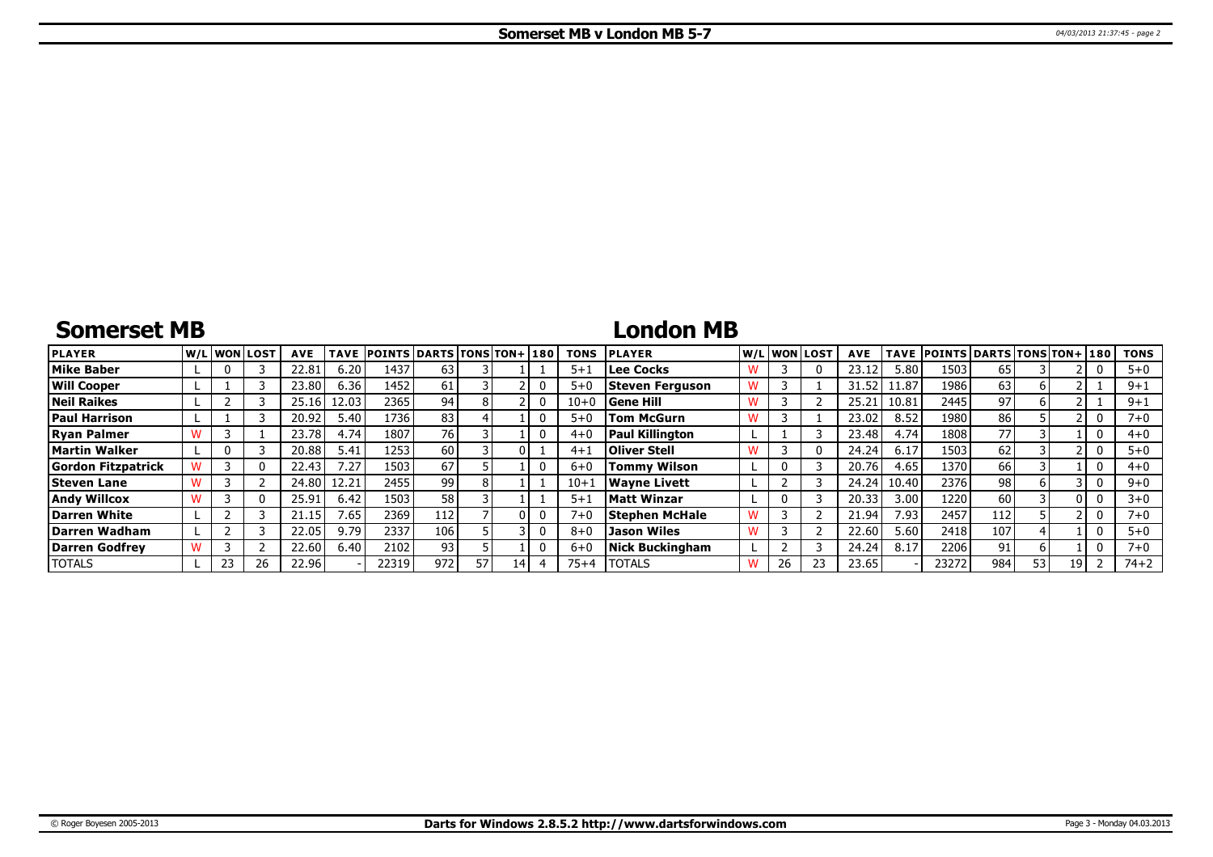# **Somerset MB**

### **London MB**

| <b>PLAYER</b>             | lw/Llwonllost |          | <b>AVE</b> | TAVE  | <b>POINTS DARTS TONS TON+1180</b> |      |    |    | TONS     | <b>PLAYER</b>          |   |    | W/L WON LOST | <b>AVE</b> |       | TAVE POINTS DARTS TONS TON+ 180 |     |    |      | <b>TONS</b> |
|---------------------------|---------------|----------|------------|-------|-----------------------------------|------|----|----|----------|------------------------|---|----|--------------|------------|-------|---------------------------------|-----|----|------|-------------|
| <b>Mike Baber</b>         |               |          | 22.81      | 6.20  | 1437                              | 63   |    |    | $5 + 1$  | <b>Lee Cocks</b>       |   |    |              | 23.12      | 5.80  | 1503                            | 65  |    |      | $5 + 0$     |
| <b>Will Cooper</b>        |               |          | 23.80      | 6.36  | 1452                              | 61   |    |    | $5 + C$  | Steven Ferguson        |   |    |              | 31.52      | .1.87 | 1986                            | 63  | h  |      | $9+1$       |
| <b>Neil Raikes</b>        |               |          | 25.16      | 12.03 | 2365                              | 94   |    |    | $10 + 0$ | <b>Gene Hill</b>       | w |    |              | 25.2.      | 10.81 | 2445                            | 97  |    |      | $9 + 1$     |
| <b>Paul Harrison</b>      |               |          | 20.92      | 5.40  | 1736                              | 83   |    |    | $5+0$    | <b>Tom McGurn</b>      |   |    |              | 23.02      | 8.52  | 1980                            | 86  |    |      | $7 + 0$     |
| <b>Ryan Palmer</b>        |               |          | 23.78      | 4.74  | 1807                              | 76 I |    |    | $4 + 0$  | <b>Paul Killington</b> |   |    |              | 23.48      | 4.74  | 1808                            | 77  |    |      | $4 + 0$     |
| Martin Walker             |               |          | 20.88      | 5.41  | 1253                              | 60 l |    |    | $4 + 1$  | <b>Oliver Stell</b>    | w |    |              | 24.24      | 6.17  | 1503                            | 62  |    |      | $5 + 0$     |
| <b>Gordon Fitzpatrick</b> |               |          | 22.43      | '.27  | 1503                              | 67   |    |    | $6 + C$  | <b>Tommy Wilson</b>    |   |    |              | 20.76      | 4.65  | 1370                            | 66  |    |      | $4 + 0$     |
| <b>Steven Lane</b>        |               |          | 24.80      | 12.21 | 2455                              | 99 l |    |    | $10+$    | <b>Wavne Livett</b>    |   |    |              | 24.24      | 10.40 | 2376                            | 98  |    |      | $9 + 0$     |
| <b>Andy Willcox</b>       |               | $\Omega$ | 25.91      | 6.42  | 1503                              | 58   |    |    | $5 + 1$  | <b>Matt Winzar</b>     |   |    |              | 20.33      | 3.00  | 1220                            | 60  |    |      | $3 + 0$     |
| Darren White              |               |          | 21.15      | 1.65  | 2369                              | 112  |    |    | $7 + 0$  | <b>Stephen McHale</b>  | w |    |              | 21.94      | 7.93  | 2457                            | 112 |    |      | 7+0         |
| Darren Wadham             |               |          | 22.05      | 9.79  | 2337                              | 106  |    |    | $8 + C$  | <b>Jason Wiles</b>     |   |    |              | 22.60      | 5.60  | 2418                            | 107 |    |      | $5 + 0$     |
| Darren Godfrev            |               |          | 22.60      | 6.40  | 2102                              | 93   |    |    | $6 + C$  | <b>Nick Buckingham</b> |   |    |              | 24.24      | 8.17  | 2206                            | 91. |    |      | $7 + 0$     |
| <b>TOTALS</b>             | 23.           | 26       | 22.96      |       | 22319                             | 972  | 57 | 14 | $75+4$   | <b>TOTALS</b>          | w | 26 |              | 23.65      |       | 23272                           | 984 | 53 | 19 I | $74 + 2$    |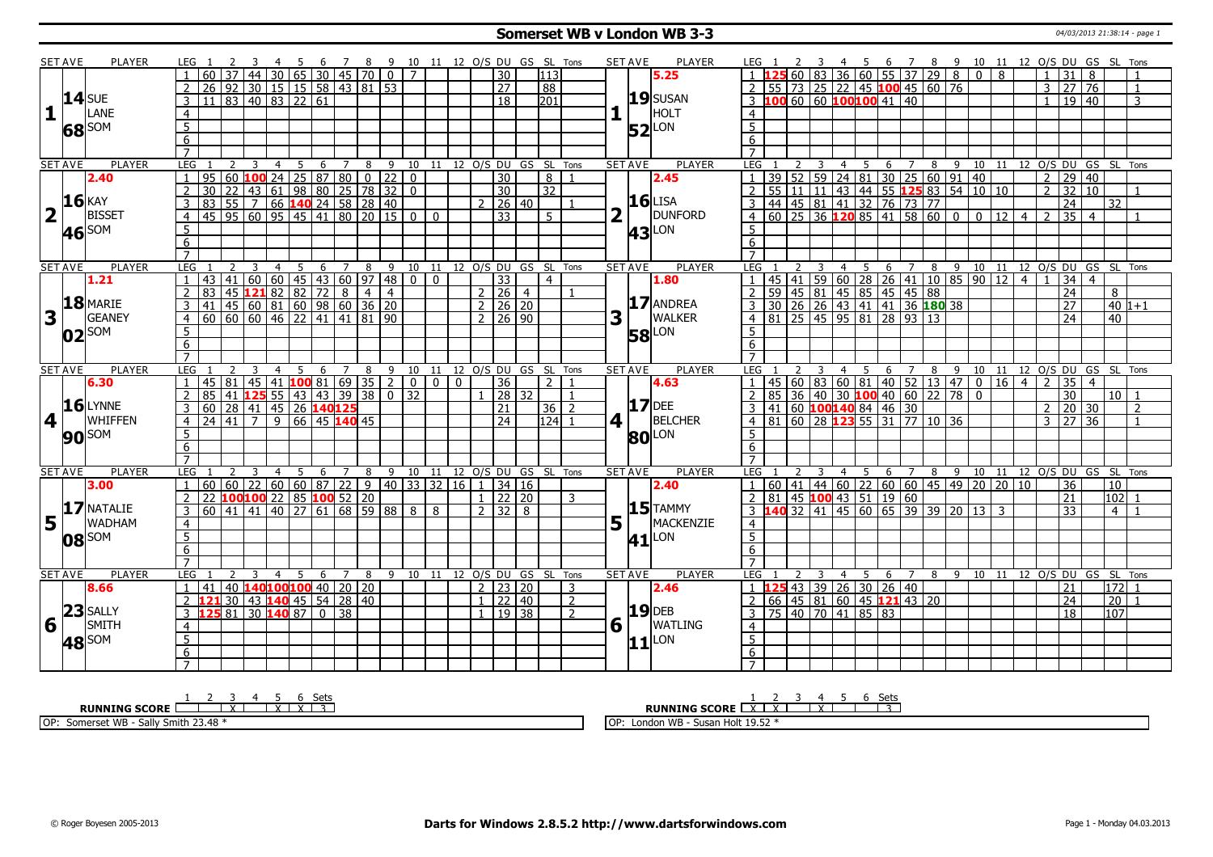#### **Somerset WB v London WB 3-3** 04/03/2013 21:38:14 - page 1

|                         | <b>SET AVE</b> | PLAYER            | LEG 1                                                              | - 3                                                   | - 5                                       | - 6 |                     |                |                                                                                                             |          |                     |                 |                  | 7 8 9 10 11 12 O/S DU GS SL Tons |   | SET AVE             | PLAYER              | LEG 1                                                               | <sup>2</sup>                     | $\overline{\mathbf{3}}$ |                |                                                                   |                     |   |    | 4 5 6 7 8 9 10 11 12 O/S DU GS SL Tons                                                                                    |                |                |                    |                 |                                   |                            |                |
|-------------------------|----------------|-------------------|--------------------------------------------------------------------|-------------------------------------------------------|-------------------------------------------|-----|---------------------|----------------|-------------------------------------------------------------------------------------------------------------|----------|---------------------|-----------------|------------------|----------------------------------|---|---------------------|---------------------|---------------------------------------------------------------------|----------------------------------|-------------------------|----------------|-------------------------------------------------------------------|---------------------|---|----|---------------------------------------------------------------------------------------------------------------------------|----------------|----------------|--------------------|-----------------|-----------------------------------|----------------------------|----------------|
|                         |                |                   | 60<br>37                                                           |                                                       |                                           |     |                     |                | 44   30   65   30   45   70   0   7                                                                         |          |                     | $\overline{30}$ | $\overline{113}$ |                                  |   |                     | 5.25                |                                                                     |                                  |                         |                | 60 83 36 60 55 37 29 8                                            |                     |   |    | $\overline{0}$                                                                                                            | $\overline{8}$ |                |                    | 31              | 8                                 |                            |                |
|                         |                |                   | $\overline{2}$<br>26                                               |                                                       |                                           |     |                     |                |                                                                                                             |          |                     | $\overline{27}$ | 88               |                                  |   |                     |                     | $2$ 55 73 25 22 45 100 45 60 76                                     |                                  |                         |                |                                                                   |                     |   |    |                                                                                                                           |                |                |                    | 3 27            | 76                                |                            | $\overline{1}$ |
|                         |                | $14$ SUE          | $\mathsf{3}$<br>11                                                 |                                                       |                                           |     |                     |                |                                                                                                             |          |                     | $\overline{18}$ | 201              |                                  |   |                     | $19$ SUSAN          | 3 100 60 60 100100 41 40                                            |                                  |                         |                |                                                                   |                     |   |    |                                                                                                                           |                |                |                    |                 | 19 40                             |                            | 3              |
| $\mathbf{1}$            |                | LANE              | $\overline{4}$                                                     |                                                       |                                           |     |                     |                |                                                                                                             |          |                     |                 |                  |                                  |   |                     | HOLT                | $\overline{4}$                                                      |                                  |                         |                |                                                                   |                     |   |    |                                                                                                                           |                |                |                    |                 |                                   |                            |                |
|                         |                |                   | $\overline{5}$                                                     |                                                       |                                           |     |                     |                |                                                                                                             |          |                     |                 |                  |                                  |   |                     |                     | 5 <sup>5</sup>                                                      |                                  |                         |                |                                                                   |                     |   |    |                                                                                                                           |                |                |                    |                 |                                   |                            |                |
|                         |                | 68 SOM            | $\overline{6}$                                                     |                                                       |                                           |     |                     |                |                                                                                                             |          |                     |                 |                  |                                  |   |                     | $52$ <sup>LON</sup> |                                                                     |                                  |                         |                |                                                                   |                     |   |    |                                                                                                                           |                |                |                    |                 |                                   |                            |                |
|                         |                |                   | $\overline{7}$                                                     |                                                       |                                           |     |                     |                |                                                                                                             |          |                     |                 |                  |                                  |   |                     |                     | 6<br>$\overline{7}$                                                 |                                  |                         |                |                                                                   |                     |   |    |                                                                                                                           |                |                |                    |                 |                                   |                            |                |
|                         |                | <b>PLAYER</b>     | LEG<br>2                                                           | -3                                                    |                                           |     |                     |                | 8 9 10 11 12 0/S DU GS SL Tons                                                                              |          |                     |                 |                  |                                  |   | <b>SET AVE</b>      | PLAYER              | LEG                                                                 |                                  |                         |                |                                                                   |                     |   |    |                                                                                                                           |                |                |                    |                 |                                   |                            |                |
|                         | <b>SET AVE</b> | 2.40              | 95<br>$\mathbf{1}$                                                 |                                                       | $\overline{4}$<br>5                       | -6  | $\overline{7}$      |                | $60$ 100 24 25 87 80 0 22 0                                                                                 |          |                     | $\overline{30}$ |                  | 8<br>$\overline{1}$              |   |                     | 2.45                |                                                                     |                                  | -3                      | 4              | 5                                                                 | 6 7                 |   | 89 | 39   52   59   24   81   30   25   60   91   40                                                                           |                |                | $\overline{2}$     | 29              | 40                                | 10 11 12 O/S DU GS SL Tons |                |
|                         |                |                   | $\overline{2}$<br>$\overline{30}$<br>22                            | 43 61                                                 |                                           |     |                     |                | 98 80 25 78 32 0                                                                                            |          |                     | $\overline{30}$ | $\overline{32}$  |                                  |   |                     |                     | $\overline{2}$                                                      | 55 11 11                         |                         |                |                                                                   |                     |   |    | 43 44 55 125 83 54 10 10                                                                                                  |                |                |                    |                 | $2 \mid 32 \mid 10$               |                            | $\overline{1}$ |
|                         |                | <b>16 KAY</b>     |                                                                    |                                                       |                                           |     |                     |                |                                                                                                             |          | <u>ົ</u>            |                 |                  |                                  |   |                     | $16$ LISA           |                                                                     |                                  |                         |                |                                                                   |                     |   |    |                                                                                                                           |                |                |                    |                 |                                   |                            |                |
|                         |                | <b>BISSET</b>     | 3<br>83                                                            |                                                       |                                           |     |                     |                |                                                                                                             |          |                     | 26   40         |                  |                                  |   |                     | DUNFORD             |                                                                     |                                  |                         |                | 44 45 81 41 32 76 73 77                                           |                     |   |    |                                                                                                                           |                |                |                    | 24              |                                   | 32                         |                |
| $\overline{\mathbf{2}}$ | $\Box$         |                   | 45   95   60   95   45   41   80   20   15   0  <br>$\overline{4}$ |                                                       |                                           |     |                     |                |                                                                                                             | $\Omega$ |                     | $\overline{33}$ |                  | 5 <sup>1</sup>                   |   |                     |                     | $\overline{4}$                                                      |                                  |                         |                | 60   25   36 <b>120</b> 85   41   58   60   0                     |                     |   |    |                                                                                                                           | $\boxed{0}$ 12 | $\overline{4}$ | $\overline{z}$     | 35              | $\overline{4}$                    |                            |                |
|                         | 46             | SOM               | $\overline{5}$                                                     |                                                       |                                           |     |                     |                |                                                                                                             |          |                     |                 |                  |                                  |   |                     | <b>43</b> LON       | 5                                                                   |                                  |                         |                |                                                                   |                     |   |    |                                                                                                                           |                |                |                    |                 |                                   |                            |                |
|                         |                |                   | 6                                                                  |                                                       |                                           |     |                     |                |                                                                                                             |          |                     |                 |                  |                                  |   |                     |                     | 6                                                                   |                                  |                         |                |                                                                   |                     |   |    |                                                                                                                           |                |                |                    |                 |                                   |                            |                |
|                         |                |                   | $\overline{7}$                                                     |                                                       |                                           |     |                     |                |                                                                                                             |          |                     |                 |                  |                                  |   |                     |                     |                                                                     |                                  |                         |                |                                                                   |                     |   |    |                                                                                                                           |                |                |                    |                 |                                   |                            |                |
|                         | <b>SET AVE</b> | <b>PLAYER</b>     | LEG                                                                |                                                       | $5^{\circ}$<br>$\overline{4}$             |     | $6 \quad 7 \quad 8$ |                | 9 10 11 12 O/S DU GS SL Tons                                                                                |          |                     |                 |                  |                                  |   | <b>SET AVE</b>      | <b>PLAYER</b>       | <b>LEG</b>                                                          |                                  |                         |                |                                                                   |                     |   |    | 4 5 6 7 8 9 10 11 12 O/S DU GS SL Tons                                                                                    |                |                |                    |                 |                                   |                            |                |
|                         |                | 1.21              | 43                                                                 | $141$ 60 60 45 43 60 97 48                            |                                           |     |                     |                | n I                                                                                                         | $\Omega$ |                     | $\overline{33}$ |                  | $\overline{4}$                   |   |                     | 1.80                |                                                                     |                                  |                         |                |                                                                   |                     |   |    | 45 41 59 60 28 26 41 10 85 90 12                                                                                          |                | $\overline{4}$ |                    | 34              | $\overline{4}$                    |                            |                |
|                         |                |                   | $\overline{2}$<br>83                                               | 45 121 82 82 72                                       |                                           |     | 8                   | $\overline{4}$ | $\overline{4}$                                                                                              |          | $2 \mid 26 \mid 4$  |                 |                  |                                  |   |                     |                     | 2                                                                   |                                  |                         |                | <u>59 45 81 45 85 45 45 88<br/>30 26 26 43 41 41 36 180 38</u>    |                     |   |    |                                                                                                                           |                |                |                    | 24              |                                   | 8                          |                |
|                         |                | $18$ MARIE        | 3<br>41                                                            | 45 60 81 60 98 60 36 20                               |                                           |     |                     |                |                                                                                                             |          | $2 \mid 26 \mid 20$ |                 |                  |                                  |   |                     | 17 ANDREA           | $\overline{3}$                                                      |                                  |                         |                |                                                                   |                     |   |    |                                                                                                                           |                |                |                    | $\overline{27}$ |                                   | $40 1+1$                   |                |
| 3                       |                | <b>GEANEY</b>     | 60<br>$\overline{4}$                                               | $\frac{160}{60}$ 60 46 22 41 41 81 90                 |                                           |     |                     |                |                                                                                                             |          | $2 \mid 26 \mid 90$ |                 |                  |                                  | 3 |                     | <b>WALKER</b>       | 4 81 25 45 95 81 28 93 13                                           |                                  |                         |                |                                                                   |                     |   |    |                                                                                                                           |                |                |                    | $\overline{24}$ |                                   | 40                         |                |
|                         |                | $02$ SOM          | 5                                                                  |                                                       |                                           |     |                     |                |                                                                                                             |          |                     |                 |                  |                                  |   |                     | <b>58</b> LON       | $5^{\circ}$                                                         |                                  |                         |                |                                                                   |                     |   |    |                                                                                                                           |                |                |                    |                 |                                   |                            |                |
|                         |                |                   | 6                                                                  |                                                       |                                           |     |                     |                |                                                                                                             |          |                     |                 |                  |                                  |   |                     |                     | 6                                                                   |                                  |                         |                |                                                                   |                     |   |    |                                                                                                                           |                |                |                    |                 |                                   |                            |                |
|                         |                |                   | $\overline{7}$                                                     |                                                       |                                           |     |                     |                |                                                                                                             |          |                     |                 |                  |                                  |   |                     |                     | $\overline{7}$                                                      |                                  |                         |                |                                                                   |                     |   |    |                                                                                                                           |                |                |                    |                 |                                   |                            |                |
|                         | <b>SET AVE</b> | <b>PLAYER</b>     | <b>LEG</b>                                                         |                                                       | $\overline{4}$<br>5                       | - 6 | $\overline{7}$      | 8              | 9 10 11 12 0/S DU GS SL Tons                                                                                |          |                     |                 |                  |                                  |   | <b>SET AVE</b>      | <b>PLAYER</b>       | LEG                                                                 |                                  |                         | $\overline{4}$ | - 5                                                               | 6<br>$\overline{7}$ |   | 8  | 9 10 11 12 0/S DU GS SL Tons                                                                                              |                |                |                    |                 |                                   |                            |                |
|                         |                | 6.30              | 45<br> 81<br>$\mathbf{1}$                                          |                                                       | 45 41 <b>100</b> 81 69 35 2               |     |                     |                |                                                                                                             | 0 0 0    |                     | 36              |                  | 2 <sub>1</sub><br>$\overline{1}$ |   |                     | 4.63                |                                                                     |                                  |                         |                | 45 60 83 60 81 40 52 13 47                                        |                     |   |    | $\overline{0}$                                                                                                            |                |                | $16 \mid 4 \mid 2$ |                 | $\overline{35}$<br>$\overline{4}$ |                            |                |
|                         |                |                   | 85<br>41<br>$\overline{2}$                                         | 125                                                   | $55 \mid 43 \mid 43 \mid 39 \mid 38 \mid$ |     |                     |                | $0 \mid 32$                                                                                                 |          |                     | 28   32         |                  | $\mathbf{1}$                     |   |                     | $17$ DEE            | 85<br>$\mathcal{L}$                                                 |                                  |                         |                | 36 40 30 100 40 60 22 78                                          |                     |   |    | $\mathbf{0}$                                                                                                              |                |                |                    | $\overline{30}$ |                                   | 10 <sup>1</sup>            |                |
|                         |                | $16$ LYNNE        | 60 28 41 45 26 140125<br>3                                         |                                                       |                                           |     |                     |                |                                                                                                             |          |                     | $\overline{21}$ |                  | $36 \mid 2$                      |   |                     |                     | 3                                                                   | $ 41 $ 60 <b>100140</b> 84 46 30 |                         |                |                                                                   |                     |   |    |                                                                                                                           |                |                |                    |                 | $2 \mid 20 \mid 30$               |                            | $\overline{z}$ |
| 4                       |                |                   |                                                                    |                                                       |                                           |     |                     |                |                                                                                                             |          |                     |                 |                  |                                  |   |                     |                     |                                                                     |                                  |                         |                |                                                                   |                     |   |    |                                                                                                                           |                |                |                    |                 | $\overline{36}$                   |                            | $\overline{1}$ |
|                         |                | WHIFFEN           | $\overline{4}$<br>24                                               | $\boxed{41}$ 7                                        | $\overline{9}$                            |     | 66 45 140 45        |                |                                                                                                             |          |                     | $\overline{24}$ |                  | $124$ 1                          | 4 |                     | <b>BELCHER</b>      | $4 \overline{81}$                                                   |                                  |                         |                | $\frac{160}{28}$ $\frac{123}{55}$ $\frac{31}{77}$ $\frac{10}{36}$ |                     |   |    |                                                                                                                           |                |                | $\mathcal{R}$      | $\overline{27}$ |                                   |                            |                |
|                         |                |                   | 5                                                                  |                                                       |                                           |     |                     |                |                                                                                                             |          |                     |                 |                  |                                  |   |                     |                     | 5 <sup>1</sup>                                                      |                                  |                         |                |                                                                   |                     |   |    |                                                                                                                           |                |                |                    |                 |                                   |                            |                |
|                         |                | 90 <sup>SOM</sup> | $\overline{6}$                                                     |                                                       |                                           |     |                     |                |                                                                                                             |          |                     |                 |                  |                                  |   |                     | <b>80</b> LON       | 6 <sup>2</sup>                                                      |                                  |                         |                |                                                                   |                     |   |    |                                                                                                                           |                |                |                    |                 |                                   |                            |                |
|                         |                |                   | $\overline{7}$                                                     |                                                       |                                           |     |                     |                |                                                                                                             |          |                     |                 |                  |                                  |   |                     |                     | $7^{\circ}$                                                         |                                  |                         |                |                                                                   |                     |   |    |                                                                                                                           |                |                |                    |                 |                                   |                            |                |
|                         | <b>SET AVE</b> | <b>PLAYER</b>     | LEG                                                                |                                                       | -5                                        | 6   | $\overline{7}$      | 8              | 9 10 11 12 O/S DU GS SL Tons                                                                                |          |                     |                 |                  |                                  |   | <b>SET AVE</b>      | <b>PLAYER</b>       | LEG <sub>1</sub>                                                    |                                  |                         |                | - 5                                                               | 6 7                 |   |    | 8 9 10 11                                                                                                                 |                |                |                    |                 |                                   | 12 O/S DU GS SL Tons       |                |
|                         |                | 3.00              | $60$ 60 22<br>$\mathbf{1}$                                         |                                                       |                                           |     |                     |                | $\vert 60 \vert 60 \vert 87 \vert 22 \vert 9 \vert 40 \vert 33 \vert 32 \vert 16 \vert 1 \vert 34 \vert 16$ |          |                     |                 |                  |                                  |   |                     | 2.40                | -1-1                                                                |                                  |                         |                |                                                                   |                     |   |    | 60 41 44 60 22 60 60 45 49 20 20 10                                                                                       |                |                |                    | 36              |                                   | 10                         |                |
|                         |                |                   | 22                                                                 | 100 <mark>100</mark> 22   85 <mark>100</mark> 52   20 |                                           |     |                     |                |                                                                                                             |          | $1 \mid 22 \mid 20$ |                 |                  | 3                                |   |                     |                     | 2   81   45   100   43   51   19   60                               |                                  |                         |                |                                                                   |                     |   |    |                                                                                                                           |                |                |                    | $\overline{21}$ |                                   | 102                        |                |
|                         |                | 17 NATALIE        | 60<br>3                                                            | 41   41   40                                          | 27 I                                      |     | 61   68   59   88   |                | 8 <sup>1</sup>                                                                                              | 8        | 2 3 2 8             |                 |                  |                                  |   |                     | $15$ TAMMY          |                                                                     | $-40$ 32 $-41$                   |                         |                |                                                                   |                     |   |    | $\overline{)$ 45 $\overline{)$ 60 $\overline{)}$ 65 $\overline{)}$ 39 $\overline{)$ 30 $\overline{)}$ 30 $\overline{)}$ 3 |                |                |                    | 33              |                                   | 4                          |                |
| 5                       |                | <b>WADHAM</b>     | $\overline{4}$                                                     |                                                       |                                           |     |                     |                |                                                                                                             |          |                     |                 |                  |                                  |   |                     | MACKENZIE           | $\overline{4}$                                                      |                                  |                         |                |                                                                   |                     |   |    |                                                                                                                           |                |                |                    |                 |                                   |                            |                |
|                         |                |                   | $\overline{5}$                                                     |                                                       |                                           |     |                     |                |                                                                                                             |          |                     |                 |                  |                                  |   |                     |                     | $\overline{5}$                                                      |                                  |                         |                |                                                                   |                     |   |    |                                                                                                                           |                |                |                    |                 |                                   |                            |                |
|                         |                | $ 08 ^{50M}$      | 6                                                                  |                                                       |                                           |     |                     |                |                                                                                                             |          |                     |                 |                  |                                  |   |                     | $41$ <sup>LON</sup> | 6                                                                   |                                  |                         |                |                                                                   |                     |   |    |                                                                                                                           |                |                |                    |                 |                                   |                            |                |
|                         |                |                   | $\overline{7}$                                                     |                                                       |                                           |     |                     |                |                                                                                                             |          |                     |                 |                  |                                  |   |                     |                     | $\overline{7}$                                                      |                                  |                         |                |                                                                   |                     |   |    |                                                                                                                           |                |                |                    |                 |                                   |                            |                |
|                         | <b>SET AVE</b> | <b>PLAYER</b>     | LEG                                                                | 3                                                     | $\overline{4}$<br>-5                      | 6   | $\overline{7}$      | 8              | 9 10 11                                                                                                     |          |                     |                 |                  | 12 O/S DU GS SL Tons             |   | <b>SET AVE</b>      | <b>PLAYER</b>       | LEG                                                                 |                                  |                         | 4              | -5                                                                | 6                   | 7 |    | 8 9 10 11                                                                                                                 |                |                |                    |                 | 12 O/S DU GS SL                   |                            | Tons           |
|                         |                | 8.66              | 41<br>$\mathbf{1}$                                                 | 40 140100100 40 20 20                                 |                                           |     |                     |                |                                                                                                             |          | 2 2 2 2 2 0         |                 |                  | 3                                |   |                     | 2.46                | $1 \vert 125 \vert 43 \vert 39 \vert 26 \vert 30 \vert 26 \vert 40$ |                                  |                         |                |                                                                   |                     |   |    |                                                                                                                           |                |                |                    | 21              |                                   | 172 1                      |                |
|                         |                |                   | $\overline{2}$<br>1 2 1                                            | 30   43   140   45   54   28   40                     |                                           |     |                     |                |                                                                                                             |          | $\mathbf{1}$        | 22   40         |                  | $\overline{2}$                   |   |                     |                     | 2                                                                   |                                  |                         |                | 66 45 81 60 45 121 43 20                                          |                     |   |    |                                                                                                                           |                |                |                    | 24              |                                   | 20 <sup>1</sup>            | - 1            |
|                         |                | $23$ SALLY        | 81 <br>$\mathbf{3}$                                                |                                                       | 30 140 87                                 |     | $0 \mid 38$         |                |                                                                                                             |          | $\mathbf{1}$        | 19   38         |                  | $\overline{2}$                   |   |                     | <b>19</b> DEB       | $\mathbf{3}$                                                        |                                  |                         |                | 75 40 70 41 85 83                                                 |                     |   |    |                                                                                                                           |                |                |                    |                 | 18                                | 107                        |                |
| $6\sqrt{1}$             |                | SMITH             | $\overline{4}$                                                     |                                                       |                                           |     |                     |                |                                                                                                             |          |                     |                 |                  |                                  |   | $6 \mid \cdot \mid$ | <b>WATLING</b>      | $\overline{4}$                                                      |                                  |                         |                |                                                                   |                     |   |    |                                                                                                                           |                |                |                    |                 |                                   |                            |                |
|                         |                |                   |                                                                    |                                                       |                                           |     |                     |                |                                                                                                             |          |                     |                 |                  |                                  |   |                     |                     | 5 <sup>5</sup>                                                      |                                  |                         |                |                                                                   |                     |   |    |                                                                                                                           |                |                |                    |                 |                                   |                            |                |
|                         |                | 48 SOM            | $\overline{5}$                                                     |                                                       |                                           |     |                     |                |                                                                                                             |          |                     |                 |                  |                                  |   |                     | $ 11 $ LON          |                                                                     |                                  |                         |                |                                                                   |                     |   |    |                                                                                                                           |                |                |                    |                 |                                   |                            |                |
|                         |                |                   | 6<br>$\overline{7}$                                                |                                                       |                                           |     |                     |                |                                                                                                             |          |                     |                 |                  |                                  |   |                     |                     | $6\overline{6}$<br>$\overline{7}$                                   |                                  |                         |                |                                                                   |                     |   |    |                                                                                                                           |                |                |                    |                 |                                   |                            |                |

**RUNNING SCORE**  $\begin{array}{|c|c|c|c|c|}\n\hline\n & 2 & 3 & 4 & 5 & 6 & \text{Sets} \\
\hline\n\end{array}$  OP: Somerset WB - Sally Smith 23.48 \* **RUNNING SCORE**  $\begin{array}{|c|c|c|c|c|}\n\hline\n & 2 & 3 & 4 & 5 & 6 & \text{Sets} \\
\hline\n\textbf{R} & \textbf{NNNING SCORE} & \textbf{XX} & \textbf{XX} & \textbf{XX} & \textbf{XX} \\
\hline\n\end{array}$ OP: London WB - Susan Holt 19.52 \*